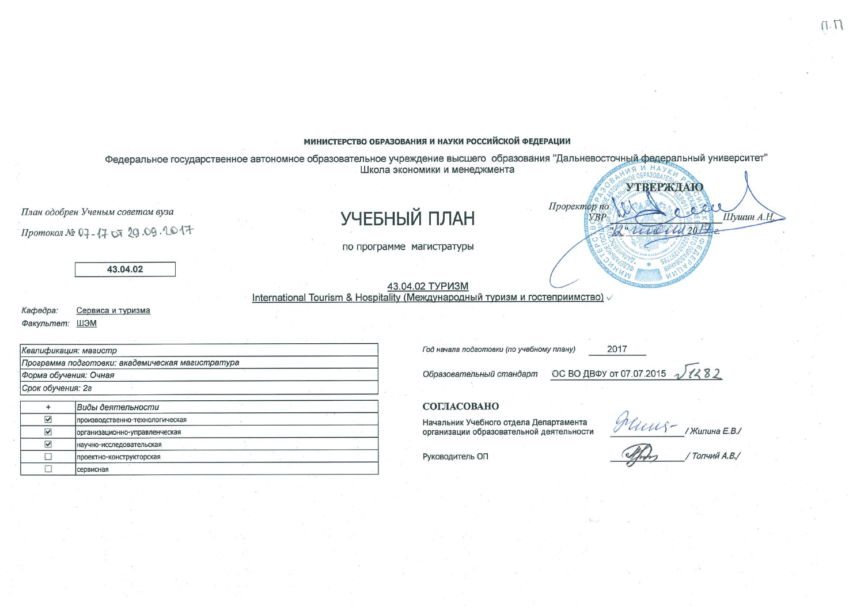## МИНИСТЕРСТВО ОБРАЗОВАНИЯ И НАУКИ РОССИЙСКОЙ ФЕДЕРАЦИИ

Федеральное государственное автономное образовательное учреждение высшего образования "Дальневосточный федеральный университет" Школа экономики и менеджмента **УТВЕРЖДАЮ** Проректор по План одобрен Ученым советом вуза УЧЕБНЫЙ ПЛАН Шушин А.Н  $YBP$ Line Mil 2017 Протокол № 07-17 07 20.09.2017 по программе магистратуры 43.04.02 43.04.02 ТУРИЗМ International Tourism & Hospitality (Международный туризм и гостеприимство)

Кафедра: Сервиса и туризма Факультет: ШЭМ

|                      | Квалификация: магистр                            |
|----------------------|--------------------------------------------------|
|                      | Программа подготовки: академическая магистратура |
|                      | Форма обучения: Очная                            |
| Срок обучения: 2г    |                                                  |
|                      | Виды деятельности                                |
| $\blacktriangledown$ | производственно-технологическая                  |
| ☑                    | организационно-управленческая                    |
| M                    | научно-исследовательская                         |
|                      | проектно-конструкторская                         |
|                      | сервисная                                        |

Год начала подготовки (по учебному плану)

Образовательный стандарт

ОС ВО ДВФУ от 07.07.2015

2017

## СОГЛАСОВАНО

Начальник Учебного отдела Департамента организации образовательной деятельности

 $\ell$ 

Руководитель ОП

 $1282$ 

Топчий А.В./

 $\Pi.\Pi$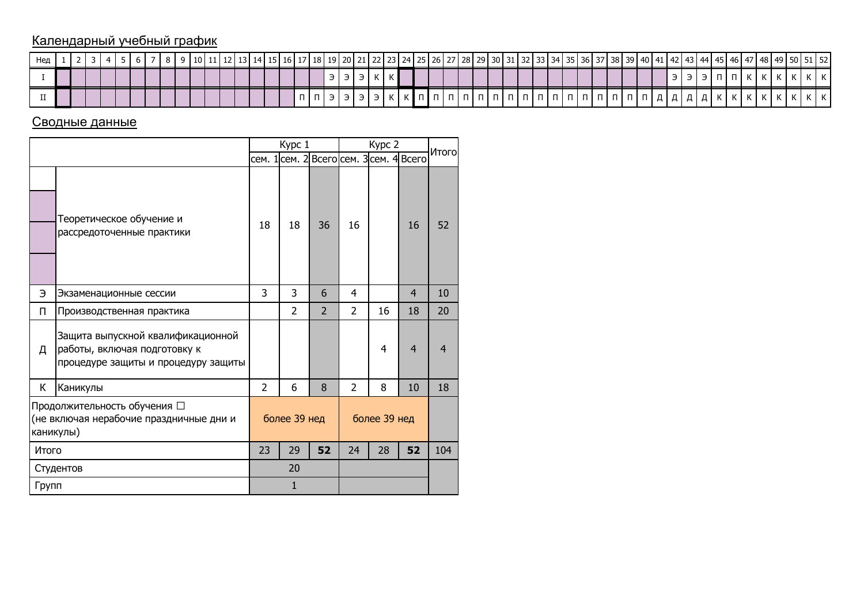## Календарный учебный график

| Нед |  |  |  |  |  |  |  |  |  |  |  |  |  |  |  |  |  |  |  |  |  |  |  |  |  | 10   11   12   13   14   15   16   17   18   19   20   21   22   23   24   25   26   27   28   39   30   31   32   33   34   35   36   37   38   39   40   41   42   43   44   45   46   47   48   49   50   51   52 |  |
|-----|--|--|--|--|--|--|--|--|--|--|--|--|--|--|--|--|--|--|--|--|--|--|--|--|--|----------------------------------------------------------------------------------------------------------------------------------------------------------------------------------------------------------------------|--|
|     |  |  |  |  |  |  |  |  |  |  |  |  |  |  |  |  |  |  |  |  |  |  |  |  |  |                                                                                                                                                                                                                      |  |
|     |  |  |  |  |  |  |  |  |  |  |  |  |  |  |  |  |  |  |  |  |  |  |  |  |  |                                                                                                                                                                                                                      |  |

## Сводные данные

|           |                                                                                                          |    | Kypc 1         |                                         |                | Kypc 2       |    | <b>Итого</b>   |
|-----------|----------------------------------------------------------------------------------------------------------|----|----------------|-----------------------------------------|----------------|--------------|----|----------------|
|           |                                                                                                          |    |                | сем. 1 сем. 2 Всего сем. 3 сем. 4 Всего |                |              |    |                |
|           | Теоретическое обучение и<br>рассредоточенные практики                                                    | 18 | 18             | 36                                      | 16             |              | 16 | 52             |
| Э         | Экзаменационные сессии                                                                                   | 3  | 3              | 6                                       | 4              |              | 4  | 10             |
| П         | Производственная практика                                                                                |    | $\overline{2}$ | $\overline{2}$                          | $\overline{2}$ | 16           | 18 | 20             |
| Д         | Защита выпускной квалификационной<br>работы, включая подготовку к<br>процедуре защиты и процедуру защиты |    |                |                                         |                | 4            | 4  | $\overline{4}$ |
| К         | Каникулы                                                                                                 | 2  | 6              | 8                                       | $\overline{2}$ | 8            | 10 | 18             |
| каникулы) | Продолжительность обучения □<br>(не включая нерабочие праздничные дни и                                  |    | более 39 нед   |                                         |                | более 39 нед |    |                |
| Итого     |                                                                                                          | 23 | 29             | 52                                      | 24             | 28           | 52 | 104            |
|           | Студентов                                                                                                |    | 20             |                                         |                |              |    |                |
| Групп     |                                                                                                          |    | $\mathbf{1}$   |                                         |                |              |    |                |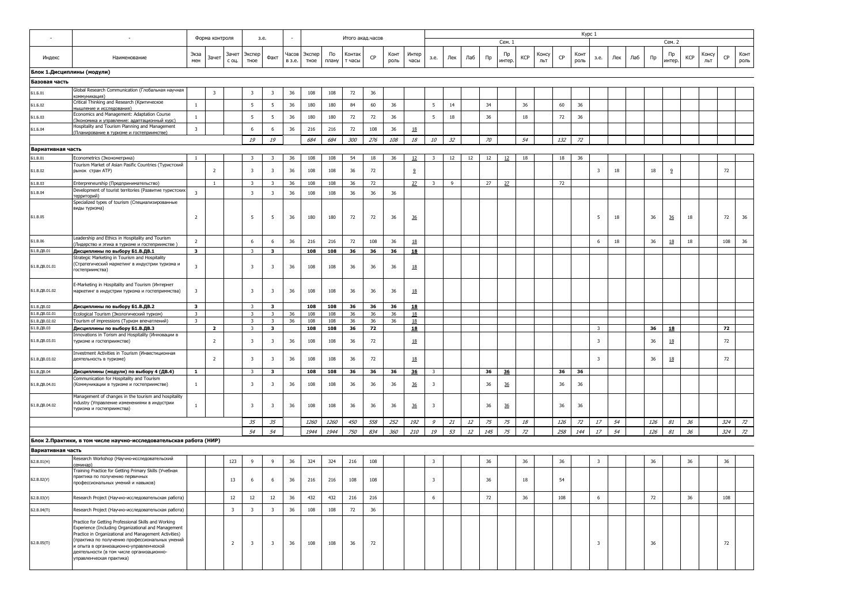|                            |                                                                                                                                                                                                                        |                         | Форма контроля          |                         | 3.e.                    |                         |        |                      |             | Итого акад.часов |     |              |                |                         |     |     |     |              |     |              |     | Kypc 1       |                         |     |     |     |              |            |              |     |              |
|----------------------------|------------------------------------------------------------------------------------------------------------------------------------------------------------------------------------------------------------------------|-------------------------|-------------------------|-------------------------|-------------------------|-------------------------|--------|----------------------|-------------|------------------|-----|--------------|----------------|-------------------------|-----|-----|-----|--------------|-----|--------------|-----|--------------|-------------------------|-----|-----|-----|--------------|------------|--------------|-----|--------------|
|                            |                                                                                                                                                                                                                        |                         |                         |                         |                         |                         |        |                      |             |                  |     |              |                |                         |     |     |     | Сем. 1       |     |              |     |              |                         |     |     |     | Сем. 2       |            |              |     |              |
| Индекс                     | Наименование                                                                                                                                                                                                           | Экза<br>мен             | Зачет                   | Зачет<br>с оц.          | Экспер<br>тное          | Факт                    | в з.е. | Часов Экспер<br>тное | По<br>плану | Контак<br>т часы | CP  | Конт<br>роль | Интер<br>часы  | з.е.                    | Лек | Лаб | Пр  | Пр<br>интер. | KCP | Консу<br>ЛЬТ | CP  | Конт<br>роль | з.е.                    | Лек | Лаб | Пр  | Пр<br>интер. | <b>KCP</b> | Консу<br>ЛЬТ | CP  | Конт<br>роль |
| Блок 1.Дисциплины (модули) |                                                                                                                                                                                                                        |                         |                         |                         |                         |                         |        |                      |             |                  |     |              |                |                         |     |     |     |              |     |              |     |              |                         |     |     |     |              |            |              |     |              |
| Базовая часть              |                                                                                                                                                                                                                        |                         |                         |                         |                         |                         |        |                      |             |                  |     |              |                |                         |     |     |     |              |     |              |     |              |                         |     |     |     |              |            |              |     |              |
| <b>51.6.01</b>             | Global Research Communication (Глобальная научная<br>(оммуникация                                                                                                                                                      |                         | $\overline{\mathbf{3}}$ |                         | 3                       | 3                       | 36     | 108                  | 108         | 72               | 36  |              |                |                         |     |     |     |              |     |              |     |              |                         |     |     |     |              |            |              |     |              |
| Б1.Б.02                    | Critical Thinking and Research (Критическое<br>мышление и исследования)                                                                                                                                                | $\mathbf{1}$            |                         |                         | 5                       | -5                      | 36     | 180                  | 180         | 84               | 60  | 36           |                | 5                       | 14  |     | 34  |              | 36  |              | 60  | 36           |                         |     |     |     |              |            |              |     |              |
| Б1.Б.03                    | Economics and Management: Adaptation Course<br>Экономика и управление: адаптационный курс)                                                                                                                             | $\mathbf{1}$            |                         |                         | - 5                     | -5                      | 36     | 180                  | 180         | 72               | 72  | 36           |                | 5                       | 18  |     | 36  |              | 18  |              | 72  | 36           |                         |     |     |     |              |            |              |     |              |
| Б1.Б.04                    | Hospitality and Tourism Planning and Management<br>(Планирование в туризме и гостеприимстве)                                                                                                                           | $\overline{\mathbf{3}}$ |                         |                         | 6                       | 6                       | 36     | 216                  | 216         | 72               | 108 | 36           | 18             |                         |     |     |     |              |     |              |     |              |                         |     |     |     |              |            |              |     |              |
|                            |                                                                                                                                                                                                                        |                         |                         |                         | 19                      | 19                      |        | 684                  | 684         | 300              | 276 | 108          | 18             | 10                      | 32  |     | 70  |              | 54  |              | 132 | 72           |                         |     |     |     |              |            |              |     |              |
| Вариативная часть          |                                                                                                                                                                                                                        |                         |                         |                         |                         |                         |        |                      |             |                  |     |              |                |                         |     |     |     |              |     |              |     |              |                         |     |     |     |              |            |              |     |              |
| <b>51.B.01</b>             | Econometrics (Эконометрика)                                                                                                                                                                                            |                         |                         |                         | 3                       | 3                       | 36     | 108                  | 108         | 54               | 18  | 36           | 12             | 3                       | 12  | 12  | 12  | 12           | 18  |              | 18  | 36           |                         |     |     |     |              |            |              |     |              |
|                            | Tourism Market of Asian Pasific Countries (Туристский                                                                                                                                                                  |                         |                         |                         |                         |                         |        |                      |             |                  |     |              |                |                         |     |     |     |              |     |              |     |              |                         |     |     |     |              |            |              |     |              |
| <b>51.B.02</b>             | рынок стран АТР)                                                                                                                                                                                                       |                         | $\overline{2}$          |                         | $\overline{\mathbf{3}}$ | 3                       | 36     | 108                  | 108         | 36               | 72  |              | $^{9}$         |                         |     |     |     |              |     |              |     |              | 3                       | 18  |     | 18  | 2            |            |              | 72  |              |
| <b>51.B.03</b>             | Enterpreneurship (Предпринимательство)                                                                                                                                                                                 |                         | 1                       |                         | 3                       | 3                       | 36     | 108                  | 108         | 36               | 72  |              | 27             | 3                       | 9   |     | 27  | 27           |     |              | 72  |              |                         |     |     |     |              |            |              |     |              |
| <b>51.B.04</b>             | Development of tourist territories (Развитие туристски»<br>ерриторий                                                                                                                                                   | $\overline{\mathbf{3}}$ |                         |                         | $\overline{\mathbf{3}}$ | $\overline{\mathbf{3}}$ | 36     | 108                  | 108         | 36               | 36  | 36           |                |                         |     |     |     |              |     |              |     |              |                         |     |     |     |              |            |              |     |              |
|                            | Specialized types of tourism (Специализированные<br>виды туризма)                                                                                                                                                      |                         |                         |                         |                         |                         |        |                      |             |                  |     |              |                |                         |     |     |     |              |     |              |     |              |                         |     |     |     |              |            |              |     |              |
| <b>51.B.05</b>             |                                                                                                                                                                                                                        | $\overline{2}$          |                         |                         | 5                       | 5                       | 36     | 180                  | 180         | 72               | 72  | 36           | 36             |                         |     |     |     |              |     |              |     |              | 5                       | 18  |     | 36  | <u>36</u>    | 18         |              | 72  | 36           |
| <b>51.B.06</b>             | Leadership and Ethics in Hospitality and Tourism                                                                                                                                                                       | $\overline{2}$          |                         |                         | 6                       | 6                       | 36     | 216                  | 216         | 72               | 108 | 36           | 18             |                         |     |     |     |              |     |              |     |              | 6                       | 18  |     | 36  | 18           | 18         |              | 108 | 36           |
| Б1.В.ДВ.01                 | Лидерство и этика в туризме и гостеприимстве)<br>Дисциплины по выбору Б1.В.ДВ.1                                                                                                                                        | $\overline{\mathbf{3}}$ |                         |                         | 3                       | 3                       |        | 108                  | 108         | 36               | 36  | 36           | 18             |                         |     |     |     |              |     |              |     |              |                         |     |     |     |              |            |              |     |              |
| Б1.В.ДВ.01.01              | Strategic Marketing in Tourism and Hospitality<br>(Стратегический маркетинг в индустрии туризма и<br>гостеприимства)                                                                                                   | $\overline{\mathbf{3}}$ |                         |                         | $\overline{\mathbf{3}}$ | 3                       | 36     | 108                  | 108         | 36               | 36  | 36           | 18             |                         |     |     |     |              |     |              |     |              |                         |     |     |     |              |            |              |     |              |
| Б1.В.ДВ.01.02              | E-Marketing in Hospitality and Tourism (Интернет<br>маркетинг в индустрии туризма и гостеприммства)                                                                                                                    | $\overline{\mathbf{3}}$ |                         |                         | $\overline{\mathbf{3}}$ | 3                       | 36     | 108                  | 108         | 36               | 36  | 36           | 18             |                         |     |     |     |              |     |              |     |              |                         |     |     |     |              |            |              |     |              |
| Б1.В.ДВ.02                 | Дисциплины по выбору Б1.В.ДВ.2                                                                                                                                                                                         | 3                       |                         |                         | 3                       | 3                       |        | 108                  | 108         | 36               | 36  | 36           | 18             |                         |     |     |     |              |     |              |     |              |                         |     |     |     |              |            |              |     |              |
| Б1.В.ДВ.02.01              | Ecological Tourism (Экологический туризм)                                                                                                                                                                              | $\overline{3}$          |                         |                         | $\overline{\mathbf{3}}$ | $\overline{\mathbf{3}}$ | 36     | 108                  | 108         | 36               | 36  | 36           | 18             |                         |     |     |     |              |     |              |     |              |                         |     |     |     |              |            |              |     |              |
| Б1.В.ДВ.02.02              | Tourism of impressions (Туризм впечатлений)                                                                                                                                                                            | $\overline{\mathbf{3}}$ |                         |                         | $\overline{\mathbf{3}}$ | $\overline{\mathbf{3}}$ | 36     | 108                  | 108         | 36               | 36  | 36           | 18             |                         |     |     |     |              |     |              |     |              |                         |     |     |     |              |            |              |     |              |
| Б1.В.ДВ.03                 | Дисциплины по выбору Б1.В.ДВ.3                                                                                                                                                                                         |                         | $\overline{2}$          |                         | $\overline{\mathbf{3}}$ | $\overline{\mathbf{3}}$ |        | 108                  | 108         | 36               | 72  |              | 18             |                         |     |     |     |              |     |              |     |              | $\overline{\mathbf{3}}$ |     |     | 36  | 18           |            |              | 72  |              |
| Б1.В.ДВ.03.01              | Innovations in Torism and Hospitality (Инновации в<br>туризме и гостеприимстве)                                                                                                                                        |                         | $\overline{2}$          |                         | $\overline{\mathbf{3}}$ | 3                       | 36     | 108                  | 108         | 36               | 72  |              | 18             |                         |     |     |     |              |     |              |     |              | 3                       |     |     | 36  | 18           |            |              | 72  |              |
| Б1.В.ДВ.03.02              | Investment Activities in Tourism (Инвестиционная<br>деятельность в туризме)                                                                                                                                            |                         | $\overline{2}$          |                         | $\overline{\mathbf{3}}$ | 3                       | 36     | 108                  | 108         | 36               | 72  |              | 18             |                         |     |     |     |              |     |              |     |              | 3                       |     |     | 36  | 18           |            |              | 72  |              |
| Б1.В.ДВ.04                 | Дисциплины (модули) по выбору 4 (ДВ.4)                                                                                                                                                                                 | $\mathbf{1}$            |                         |                         | $\overline{\mathbf{3}}$ | $\overline{\mathbf{3}}$ |        | 108                  | 108         | 36               | 36  | 36           | 36             | $\overline{\mathbf{3}}$ |     |     | 36  | 36           |     |              | 36  | 36           |                         |     |     |     |              |            |              |     |              |
| Б1.В.ДВ.04.01              | Communication for Hospitality and Tourism<br>(Коммуникации в туризме и гостеприимстве)                                                                                                                                 | $\mathbf{1}$            |                         |                         | 3                       | 3                       | 36     | 108                  | 108         | 36               | 36  | 36           | $\frac{36}{5}$ | 3                       |     |     | 36  | 36           |     |              | 36  | 36           |                         |     |     |     |              |            |              |     |              |
| Б1.В.ДВ.04.02              | Management of changes in the tourism and hospitality<br>industry (Управление изменениями в индустрии<br>туризма и гостеприимства)                                                                                      | $\overline{1}$          |                         |                         | $\overline{\mathbf{3}}$ | -3                      | 36     | 108                  | 108         | 36               | 36  | 36           | 36             | 3                       |     |     | 36  | 36           |     |              | 36  | 36           |                         |     |     |     |              |            |              |     |              |
|                            |                                                                                                                                                                                                                        |                         |                         |                         | 35                      | 35                      |        | <i>1260</i>          | 1260        | 450              | 558 | 252          | 192            | 9                       | 21  | 12  | 75  | 75           | 18  |              | 126 | 72           | 17                      | 54  |     | 126 | 81           | 36         |              | 324 | 72           |
|                            |                                                                                                                                                                                                                        |                         |                         |                         | 54                      | 54                      |        | 1944                 | 1944        | 750              | 834 | 360          | 210            | 19                      | 53  | 12  | 145 | 75           | 72  |              | 258 | 144          | 17                      | 54  |     | 126 | 81           | 36         |              | 324 | 72           |
|                            | Блок 2. Практики, в том числе научно-исследовательская работа (НИР)                                                                                                                                                    |                         |                         |                         |                         |                         |        |                      |             |                  |     |              |                |                         |     |     |     |              |     |              |     |              |                         |     |     |     |              |            |              |     |              |
| Вариативная часть          |                                                                                                                                                                                                                        |                         |                         |                         |                         |                         |        |                      |             |                  |     |              |                |                         |     |     |     |              |     |              |     |              |                         |     |     |     |              |            |              |     |              |
| 52.B.01(H)                 | Research Workshop (Научно-исследовательский<br>эминар)                                                                                                                                                                 |                         |                         | 123                     | 9                       | 9                       | 36     | 324                  | 324         | 216              | 108 |              |                | $\overline{\mathbf{3}}$ |     |     | 36  |              | 36  |              | 36  |              | 3                       |     |     | 36  |              | 36         |              | 36  |              |
| E2.B.02(Y)                 | Training Practice for Getting Primary Skills (Учебная<br>практика по получению первичных<br>профессиональных умений и навыков)                                                                                         |                         |                         | 13                      | 6                       | 6                       | 36     | 216                  | 216         | 108              | 108 |              |                | 3                       |     |     | 36  |              | 18  |              | 54  |              |                         |     |     |     |              |            |              |     |              |
| <b>62.B.03(Y)</b>          |                                                                                                                                                                                                                        |                         |                         | 12                      | 12                      | 12                      | 36     | 432                  | 432         | 216              | 216 |              |                | 6                       |     |     | 72  |              | 36  |              | 108 |              | 6                       |     |     | 72  |              | 36         |              | 108 |              |
| Б2.В.04(П)                 | Research Project (Научно-исследовательская работа)<br>Research Project (Научно-исследовательская работа)                                                                                                               |                         |                         | $\overline{\mathbf{3}}$ | $\overline{\mathbf{3}}$ | $\overline{\mathbf{3}}$ | 36     | 108                  | 108         | 72               | 36  |              |                |                         |     |     |     |              |     |              |     |              |                         |     |     |     |              |            |              |     |              |
|                            | Practice for Getting Professional Skills and Working<br>Experience (Including Organizational and Management<br>Practice in Organizational and Management Activities)<br>(практика по получению профессиональных умений |                         |                         |                         |                         |                         |        |                      |             |                  |     |              |                |                         |     |     |     |              |     |              |     |              |                         |     |     |     |              |            |              |     |              |
| 62.B.05(N)                 | и опыта в организационно-управленческой<br>деятельности (в том числе организационно-<br>управленческая практика)                                                                                                       |                         |                         | $\overline{2}$          | $\overline{\mathbf{3}}$ | $\overline{\mathbf{3}}$ | 36     | 108                  | 108         | 36               | 72  |              |                |                         |     |     |     |              |     |              |     |              | $\overline{\mathbf{3}}$ |     |     | 36  |              |            |              | 72  |              |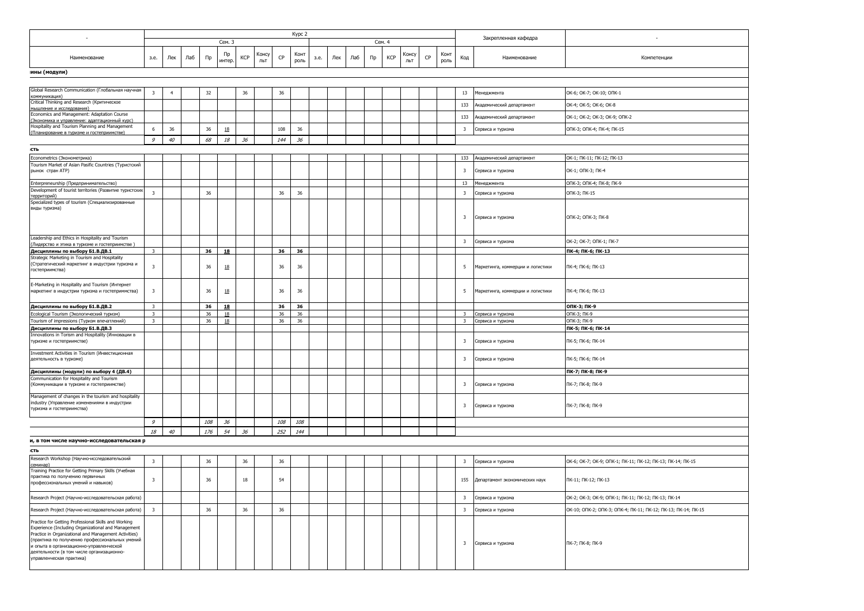| $\sim$                                                                                                                                                                                                                                                                                                                                     |                         |                |     |     |                  |        |              |     | Kypc 2       |      |     |     |        |     |              |    |              |                         | Закрепленная кафедра              | $\sim$                                                        |
|--------------------------------------------------------------------------------------------------------------------------------------------------------------------------------------------------------------------------------------------------------------------------------------------------------------------------------------------|-------------------------|----------------|-----|-----|------------------|--------|--------------|-----|--------------|------|-----|-----|--------|-----|--------------|----|--------------|-------------------------|-----------------------------------|---------------------------------------------------------------|
|                                                                                                                                                                                                                                                                                                                                            |                         |                |     |     | Сем. 3           |        |              |     |              |      |     |     | Сем. 4 |     |              |    |              |                         |                                   |                                                               |
| Наименование                                                                                                                                                                                                                                                                                                                               | з.е.                    | Лек            | Лаб | Пр  | Пр<br>интер.     | KCP    | Консу<br>ЛЬТ | CP  | Конт<br>роль | 3.e. | Лек | Лаб | Пр     | KCP | Консу<br>льт | CP | Конт<br>роль | Код                     | Наименование                      | Компетенции                                                   |
| ины (модули)                                                                                                                                                                                                                                                                                                                               |                         |                |     |     |                  |        |              |     |              |      |     |     |        |     |              |    |              |                         |                                   |                                                               |
|                                                                                                                                                                                                                                                                                                                                            |                         |                |     |     |                  |        |              |     |              |      |     |     |        |     |              |    |              |                         |                                   |                                                               |
| Global Research Communication (Глобальная научная<br>коммуникация)                                                                                                                                                                                                                                                                         | $\overline{\mathbf{3}}$ | $\overline{4}$ |     | 32  |                  | 36     |              | 36  |              |      |     |     |        |     |              |    |              | 13                      | <b>Иенеджмента</b>                | OK-6; OK-7; OK-10; ONK-1                                      |
| Critical Thinking and Research (Критическое                                                                                                                                                                                                                                                                                                |                         |                |     |     |                  |        |              |     |              |      |     |     |        |     |              |    |              | 133                     | Академический департамент         | OK-4; OK-5; OK-6; OK-8                                        |
| мышление и исследования)<br>Economics and Management: Adaptation Course                                                                                                                                                                                                                                                                    |                         |                |     |     |                  |        |              |     |              |      |     |     |        |     |              |    |              | 133                     | Академический департамент         | OK-1; OK-2; OK-3; OK-9; ONK-2                                 |
| (Экономика и управление: адаптационный курс)<br>Hospitality and Tourism Planning and Management                                                                                                                                                                                                                                            | 6                       | 36             |     | 36  | $\underline{18}$ |        |              | 108 | 36           |      |     |     |        |     |              |    |              | $\overline{\mathbf{3}}$ | Сервиса и туризма                 | ОПК-3; ОПК-4; ПК-4; ПК-15                                     |
| (Планирование в туризме и гостеприимстве)                                                                                                                                                                                                                                                                                                  | $\mathcal{G}$           | 40             |     | 68  | 18               | 36     |              | 144 | 36           |      |     |     |        |     |              |    |              |                         |                                   |                                                               |
| сть                                                                                                                                                                                                                                                                                                                                        |                         |                |     |     |                  |        |              |     |              |      |     |     |        |     |              |    |              |                         |                                   |                                                               |
| Econometrics (Эконометрика)                                                                                                                                                                                                                                                                                                                |                         |                |     |     |                  |        |              |     |              |      |     |     |        |     |              |    |              | 133                     | Академический департамент         | ОК-1; ПК-11; ПК-12; ПК-13                                     |
| Tourism Market of Asian Pasific Countries (Туристский                                                                                                                                                                                                                                                                                      |                         |                |     |     |                  |        |              |     |              |      |     |     |        |     |              |    |              |                         |                                   |                                                               |
| рынок стран АТР)                                                                                                                                                                                                                                                                                                                           |                         |                |     |     |                  |        |              |     |              |      |     |     |        |     |              |    |              | $\overline{\mathbf{3}}$ | Сервиса и туризма                 | ОК-1; ОПК-3; ПК-4                                             |
| Enterpreneurship (Предпринимательство)                                                                                                                                                                                                                                                                                                     |                         |                |     |     |                  |        |              |     |              |      |     |     |        |     |              |    |              | 13                      | Менеджмента                       | ОПК-3; ОПК-4; ПК-8; ПК-9                                      |
| Development of tourist territories (Развитие туристских<br>территорий)                                                                                                                                                                                                                                                                     | $\overline{\mathbf{3}}$ |                |     | 36  |                  |        |              | 36  | 36           |      |     |     |        |     |              |    |              | $\overline{\mathbf{3}}$ | Сервиса и туризма                 | ОПК-3; ПК-15                                                  |
| Specialized types of tourism (Специализированные                                                                                                                                                                                                                                                                                           |                         |                |     |     |                  |        |              |     |              |      |     |     |        |     |              |    |              |                         |                                   |                                                               |
| виды туризма)                                                                                                                                                                                                                                                                                                                              |                         |                |     |     |                  |        |              |     |              |      |     |     |        |     |              |    |              | 3                       | Сервиса и туризма                 | ОПК-2; ОПК-3; ПК-8                                            |
| Leadership and Ethics in Hospitality and Tourism<br>(Лидерство и этика в туризме и гостеприимстве)                                                                                                                                                                                                                                         |                         |                |     |     |                  |        |              |     |              |      |     |     |        |     |              |    |              | $\overline{\mathbf{3}}$ | Сервиса и туризма                 | OK-2; OK-7; ONK-1; NK-7                                       |
| Дисциплины по выбору Б1.В.ДВ.1                                                                                                                                                                                                                                                                                                             | $\overline{\mathbf{3}}$ |                |     | 36  | 18               |        |              | 36  | 36           |      |     |     |        |     |              |    |              |                         |                                   | ПК-4; ПК-6; ПК-13                                             |
| Strategic Marketing in Tourism and Hospitality<br>(Стратегический маркетинг в индустрии туризма и<br>гостеприимства)                                                                                                                                                                                                                       | $\overline{\mathbf{3}}$ |                |     | 36  | <u>18</u>        |        |              | 36  | 36           |      |     |     |        |     |              |    |              | 5                       | Маркетинга, коммерции и логистики | ПК-4; ПК-6; ПК-13                                             |
| E-Marketing in Hospitality and Tourism (Интернет<br>маркетинг в индустрии туризма и гостеприммства)                                                                                                                                                                                                                                        | $\overline{\mathbf{3}}$ |                |     | 36  | 18               |        |              | 36  | 36           |      |     |     |        |     |              |    |              | 5                       | Маркетинга, коммерции и логистики | ПК-4; ПК-6; ПК-13                                             |
| Дисциплины по выбору Б1.В.ДВ.2                                                                                                                                                                                                                                                                                                             | $\overline{\mathbf{3}}$ |                |     | 36  | 18               |        |              | 36  | 36           |      |     |     |        |     |              |    |              |                         |                                   | ОПК-3; ПК-9                                                   |
| Ecological Tourism (Экологический туризм)                                                                                                                                                                                                                                                                                                  | $\overline{\mathbf{3}}$ |                |     | 36  | 18               |        |              | 36  | 36           |      |     |     |        |     |              |    |              | $\overline{3}$          | Сервиса и туризма                 | ОПК-3; ПК-9                                                   |
| Tourism of impressions (Туризм впечатлений)<br>Дисциплины по выбору Б1.В.ДВ.3                                                                                                                                                                                                                                                              | $\overline{\mathbf{3}}$ |                |     | 36  | 18               |        |              | 36  | 36           |      |     |     |        |     |              |    |              | $\overline{\mathbf{3}}$ | Сервиса и туризма                 | ОПК-3; ПК-9<br>ПК-5; ПК-6; ПК-14                              |
| Innovations in Torism and Hospitality (Инновации в                                                                                                                                                                                                                                                                                         |                         |                |     |     |                  |        |              |     |              |      |     |     |        |     |              |    |              |                         |                                   |                                                               |
| туризме и гостеприимстве)                                                                                                                                                                                                                                                                                                                  |                         |                |     |     |                  |        |              |     |              |      |     |     |        |     |              |    |              | $\overline{\mathbf{3}}$ | Сервиса и туризма                 | ПК-5; ПК-6; ПК-14                                             |
| Investment Activities in Tourism (Инвестиционная<br>деятельность в туризме)                                                                                                                                                                                                                                                                |                         |                |     |     |                  |        |              |     |              |      |     |     |        |     |              |    |              | $\overline{\mathbf{3}}$ | Сервиса и туризма                 | ПК-5; ПК-6; ПК-14                                             |
| Дисциплины (модули) по выбору 4 (ДВ.4)                                                                                                                                                                                                                                                                                                     |                         |                |     |     |                  |        |              |     |              |      |     |     |        |     |              |    |              |                         |                                   | ПК-7; ПК-8; ПК-9                                              |
| Communication for Hospitality and Tourism<br>(Коммуникации в туризме и гостеприимстве)                                                                                                                                                                                                                                                     |                         |                |     |     |                  |        |              |     |              |      |     |     |        |     |              |    |              | $\overline{\mathbf{3}}$ | Сервиса и туризма                 | ПК-7; ПК-8; ПК-9                                              |
| Management of changes in the tourism and hospitality<br>industry (Управление изменениями в индустрии<br>туризма и гостеприимства)                                                                                                                                                                                                          |                         |                |     |     |                  |        |              |     |              |      |     |     |        |     |              |    |              | $\overline{\mathbf{3}}$ | Сервиса и туризма                 | ПК-7; ПК-8; ПК-9                                              |
|                                                                                                                                                                                                                                                                                                                                            | $\mathcal{G}$           |                |     | 108 | 36               |        |              | 108 | 108          |      |     |     |        |     |              |    |              |                         |                                   |                                                               |
|                                                                                                                                                                                                                                                                                                                                            | 18                      | 40             |     | 176 | 54               | 36     |              | 252 | 144          |      |     |     |        |     |              |    |              |                         |                                   |                                                               |
| и, в том числе научно-исследовательская р                                                                                                                                                                                                                                                                                                  |                         |                |     |     |                  |        |              |     |              |      |     |     |        |     |              |    |              |                         |                                   |                                                               |
| сть                                                                                                                                                                                                                                                                                                                                        |                         |                |     |     |                  |        |              |     |              |      |     |     |        |     |              |    |              |                         |                                   |                                                               |
| Research Workshop (Научно-исследовательский                                                                                                                                                                                                                                                                                                | $\overline{\mathbf{3}}$ |                |     | 36  |                  | 36     |              | 36  |              |      |     |     |        |     |              |    |              | $\overline{\mathbf{3}}$ | Сервиса и туризма                 | OK-6; OK-7; OK-9; OПК-1; ПК-11; ПК-12; ПК-13; ПК-14; ПК-15    |
| семинар)<br>Training Practice for Getting Primary Skills (Учебная                                                                                                                                                                                                                                                                          |                         |                |     |     |                  |        |              |     |              |      |     |     |        |     |              |    |              |                         |                                   |                                                               |
| практика по получению первичных<br>профессиональных умений и навыков)                                                                                                                                                                                                                                                                      | $\overline{\mathbf{3}}$ |                |     | 36  |                  | $18\,$ |              | 54  |              |      |     |     |        |     |              |    |              | 155                     | Департамент экономических наук    | ПК-11; ПК-12; ПК-13                                           |
| Research Project (Научно-исследовательская работа)                                                                                                                                                                                                                                                                                         |                         |                |     |     |                  |        |              |     |              |      |     |     |        |     |              |    |              | 3                       | Сервиса и туризма                 | OK-2; OK-3; OK-9; ONK-1; NK-11; NK-12; NK-13; NK-14           |
| Research Project (Научно-исследовательская работа)                                                                                                                                                                                                                                                                                         | $\overline{\mathbf{3}}$ |                |     | 36  |                  | 36     |              | 36  |              |      |     |     |        |     |              |    |              | $\overline{\mathbf{3}}$ | Сервиса и туризма                 | ОК-10; ОПК-2; ОПК-3; ОПК-4; ПК-11; ПК-12; ПК-13; ПК-14; ПК-15 |
| Practice for Getting Professional Skills and Working<br>Experience (Including Organizational and Management<br>Practice in Organizational and Management Activities)<br>(практика по получению профессиональных умений<br>и опыта в организационно-управленческой<br>деятельности (в том числе организационно-<br>управленческая практика) |                         |                |     |     |                  |        |              |     |              |      |     |     |        |     |              |    |              | 3                       | Сервиса и туризма                 | ПК-7; ПК-8; ПК-9                                              |
|                                                                                                                                                                                                                                                                                                                                            |                         |                |     |     |                  |        |              |     |              |      |     |     |        |     |              |    |              |                         |                                   |                                                               |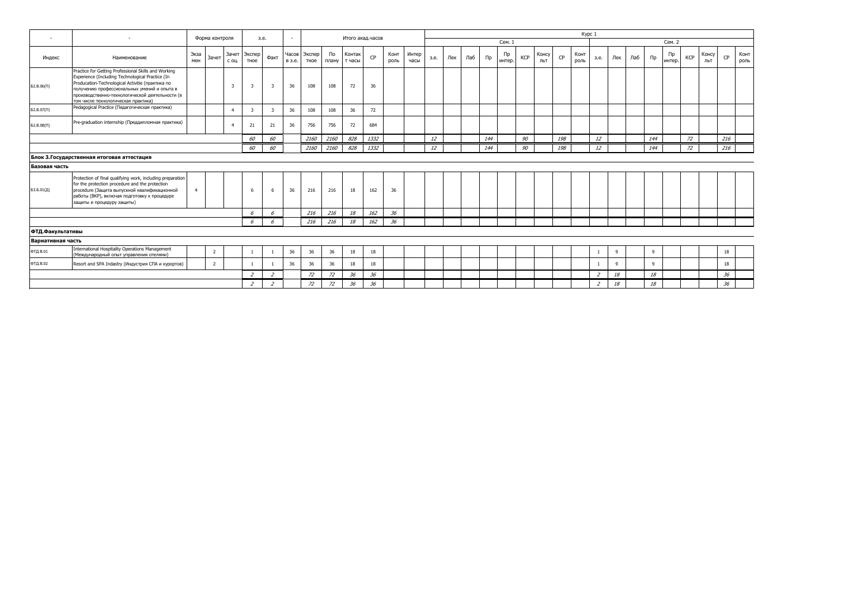| $\overline{a}$    |                                                                                                                                                                                                                                                                                                       | Форма контроля |                |                         | 3.e.           | $\sim$                   |                 |                | Итого акад.часов |                  |      |              |               |      |     |     |            |              |     |              | Kypc 1 |              |                          |     |     |            |              |            |              |     |              |
|-------------------|-------------------------------------------------------------------------------------------------------------------------------------------------------------------------------------------------------------------------------------------------------------------------------------------------------|----------------|----------------|-------------------------|----------------|--------------------------|-----------------|----------------|------------------|------------------|------|--------------|---------------|------|-----|-----|------------|--------------|-----|--------------|--------|--------------|--------------------------|-----|-----|------------|--------------|------------|--------------|-----|--------------|
|                   |                                                                                                                                                                                                                                                                                                       |                |                |                         |                |                          |                 |                |                  |                  |      |              |               |      |     |     |            | Сем. 1       |     |              |        |              |                          |     |     |            | Сем. 2       |            |              |     |              |
| Индекс            | Наименование                                                                                                                                                                                                                                                                                          | Экза<br>мен    | Зачет          | Зачет<br>С ОЦ.          | Экспер<br>тное | Факт                     | Часов<br>в з.е. | Экспер<br>тное | По<br>плану      | Контак<br>т часы | CP   | Конт<br>роль | Интер<br>часы | з.е. | Лек | Лаб | $\sqcap$ p | Пp<br>интер. | KCP | Консу<br>льт | CP     | Конт<br>роль | з.е.                     | Лек | Лаб | $\n  np\n$ | Пр<br>интер. | <b>KCP</b> | Консу<br>ЛЬТ | CP  | Конт<br>роль |
| Б2.В.06(П)        | Practice for Getting Professional Skills and Working<br>Experience (Including Technological Practice (In<br>Producation-Technological Activitie (практика по<br>получению профессиональных умений и опыта в<br>производственно-технологической деятельности (в<br>том числе технологическая практика) |                |                | $\overline{\mathbf{3}}$ | 3              | 3                        | 36              | 108            | 108              | 72               | 36   |              |               |      |     |     |            |              |     |              |        |              |                          |     |     |            |              |            |              |     |              |
| Б2.В.07(П)        | Pedagogical Practice (Педагогическая практика)                                                                                                                                                                                                                                                        |                |                | $\overline{4}$          | 3              |                          | 36              | 108            | 108              | 36               | 72   |              |               |      |     |     |            |              |     |              |        |              |                          |     |     |            |              |            |              |     |              |
| 52.B.08(II)       | Pre-graduation internship (Преддипломная практика)                                                                                                                                                                                                                                                    |                |                | $\overline{4}$          | 21             | 21                       | 36              | 756            | 756              | 72               | 684  |              |               |      |     |     |            |              |     |              |        |              |                          |     |     |            |              |            |              |     |              |
|                   |                                                                                                                                                                                                                                                                                                       |                |                |                         | 60             | 60                       |                 | 2160           | 2160             | 828              | 1332 |              |               | 12   |     |     | 144        |              | 90  |              | 198    |              | 12                       |     |     | 144        |              | 72         |              | 216 |              |
|                   |                                                                                                                                                                                                                                                                                                       |                |                |                         | 60             | 60                       |                 | 2160           | 2160             | 828              | 1332 |              |               | 12   |     |     | 144        |              | 90  |              | 198    |              | 12                       |     |     | 144        |              | 72         |              | 216 |              |
|                   | Блок 3. Государственная итоговая аттестация                                                                                                                                                                                                                                                           |                |                |                         |                |                          |                 |                |                  |                  |      |              |               |      |     |     |            |              |     |              |        |              |                          |     |     |            |              |            |              |     |              |
| Базовая часть     |                                                                                                                                                                                                                                                                                                       |                |                |                         |                |                          |                 |                |                  |                  |      |              |               |      |     |     |            |              |     |              |        |              |                          |     |     |            |              |            |              |     |              |
| БЗ.Б.01(Д)        | Protection of final qualifying work, including preparation<br>for the protection procedure and the protection<br>procedure (Защита выпускной квалификационной<br>работы (ВКР), включая подготовку к процедуре<br>защиты и процедуру защиты)                                                           | $\overline{4}$ |                |                         | 6              | -6                       | 36              | 216            | 216              | 18               | 162  | 36           |               |      |     |     |            |              |     |              |        |              |                          |     |     |            |              |            |              |     |              |
|                   |                                                                                                                                                                                                                                                                                                       |                |                |                         | 6              | 6                        |                 | 216            | 216              | 18               | 162  | 36           |               |      |     |     |            |              |     |              |        |              |                          |     |     |            |              |            |              |     |              |
|                   |                                                                                                                                                                                                                                                                                                       |                |                |                         | 6              | 6                        |                 | 216            | 216              | 18               | 162  | 36           |               |      |     |     |            |              |     |              |        |              |                          |     |     |            |              |            |              |     |              |
| ФТД.Факультативы  |                                                                                                                                                                                                                                                                                                       |                |                |                         |                |                          |                 |                |                  |                  |      |              |               |      |     |     |            |              |     |              |        |              |                          |     |     |            |              |            |              |     |              |
| Вариативная часть |                                                                                                                                                                                                                                                                                                       |                |                |                         |                |                          |                 |                |                  |                  |      |              |               |      |     |     |            |              |     |              |        |              |                          |     |     |            |              |            |              |     |              |
| ФТД.В.01          | International Hospitality Operations Management<br>(Международный опыт управления отелями)                                                                                                                                                                                                            |                | $\overline{2}$ |                         | 1              |                          | 36              | 36             | 36               | $18\,$           | 18   |              |               |      |     |     |            |              |     |              |        |              | -1                       | 9   |     | 9          |              |            |              | 18  |              |
| ФТД.В.02          | Resort and SPA Indastry (Индустрия СПА и курортов)                                                                                                                                                                                                                                                    |                | $\overline{2}$ |                         |                |                          | 36              | 36             | 36               | 18               | 18   |              |               |      |     |     |            |              |     |              |        |              | $\overline{1}$           | -9  |     | 9          |              |            |              | 18  |              |
|                   |                                                                                                                                                                                                                                                                                                       |                |                |                         | $\overline{a}$ | $\overline{\phantom{a}}$ |                 | 72             | 72               | 36               | 36   |              |               |      |     |     |            |              |     |              |        |              | $\overline{\phantom{a}}$ | 18  |     | 18         |              |            |              | 36  |              |
|                   |                                                                                                                                                                                                                                                                                                       |                |                |                         | $\overline{z}$ | $\overline{2}$           |                 | 72             | 72               | 36               | 36   |              |               |      |     |     |            |              |     |              |        |              | $\overline{2}$           | 18  |     | $18\,$     |              |            |              | 36  |              |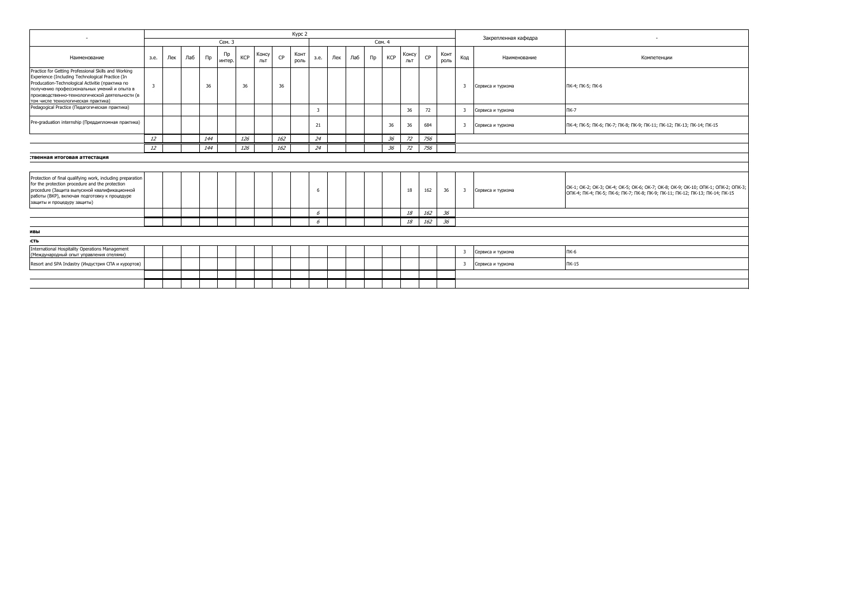|                                                                                                                                                                                                                                                                                                                                                         |                |     |     |     |              |     |              |     | Kypc 2       |      |     |     |       |            |              |     |              |                         | Закрепленная кафедра | $\sim$                                                                                                                                                            |
|---------------------------------------------------------------------------------------------------------------------------------------------------------------------------------------------------------------------------------------------------------------------------------------------------------------------------------------------------------|----------------|-----|-----|-----|--------------|-----|--------------|-----|--------------|------|-----|-----|-------|------------|--------------|-----|--------------|-------------------------|----------------------|-------------------------------------------------------------------------------------------------------------------------------------------------------------------|
|                                                                                                                                                                                                                                                                                                                                                         |                |     |     |     | Сем. 3       |     |              |     |              |      |     |     |       | Сем. 4     |              |     |              |                         |                      |                                                                                                                                                                   |
| Наименование                                                                                                                                                                                                                                                                                                                                            | 3.e.           | Лек | Лаб | Пр  | Пр<br>интер. | KCP | Консу<br>льт | CP  | Конт<br>роль | 3.e. | Лек | Лаб | $\Pi$ | <b>KCP</b> | Консу<br>льт | CP  | Конт<br>роль | Код                     | Наименование         | Компетенции                                                                                                                                                       |
| Practice for Getting Professional Skills and Working<br>Experience (Including Technological Practice (In<br>Producation-Technological Activitie (практика по<br>получению профессиональных умений и опыта в<br>производственно-технологической деятельности (в<br>том числе технологическая практика)<br>Pedagogical Practice (Педагогическая практика) | $\overline{3}$ |     |     | 36  |              | 36  |              | 36  |              |      |     |     |       |            |              |     |              | $\overline{\mathbf{3}}$ | Сервиса и туризма    | ПК-4; ПК-5; ПК-6                                                                                                                                                  |
|                                                                                                                                                                                                                                                                                                                                                         |                |     |     |     |              |     |              |     |              | 3    |     |     |       |            | 36           | 72  |              | 3                       | Сервиса и туризма    | ПК-7                                                                                                                                                              |
| Pre-graduation internship (Преддипломная практика)                                                                                                                                                                                                                                                                                                      |                |     |     |     |              |     |              |     |              | 21   |     |     |       | 36         | 36           | 684 |              |                         | 3 Сервиса и туризма  | ПК-4; ПК-5; ПК-6; ПК-7; ПК-8; ПК-9; ПК-11; ПК-12; ПК-13; ПК-14; ПК-15                                                                                             |
|                                                                                                                                                                                                                                                                                                                                                         | 12             |     |     | 144 |              | 126 |              | 162 |              | 24   |     |     |       | 36         | 72           | 756 |              |                         |                      |                                                                                                                                                                   |
|                                                                                                                                                                                                                                                                                                                                                         | 12             |     |     | 144 |              | 126 |              | 162 |              | 24   |     |     |       | 36         | 72           | 756 |              |                         |                      |                                                                                                                                                                   |
| Protection of final qualifying work, including preparation<br>for the protection procedure and the protection<br>procedure (Защита выпускной квалификационной<br>работы (ВКР), включая подготовку к процедуре<br>защиты и процедуру защиты)                                                                                                             |                |     |     |     |              |     |              |     |              |      |     |     |       |            | 18           | 162 | 36           |                         | 3 Сервиса и туризма  | OK-1; OK-2; OK-3; OK-4; OK-5; OK-6; OK-7; OK-8; OK-9; OK-10; ONK-1; ONK-2; ONK-3;<br>ОПК-4; ПК-4; ПК-5; ПК-6; ПК-7; ПК-8; ПК-9; ПК-11; ПК-12; ПК-13; ПК-14; ПК-15 |
|                                                                                                                                                                                                                                                                                                                                                         |                |     |     |     |              |     |              |     |              | 6    |     |     |       |            | 18           | 162 | 36           |                         |                      |                                                                                                                                                                   |
|                                                                                                                                                                                                                                                                                                                                                         |                |     |     |     |              |     |              |     |              | 6    |     |     |       |            | 18           | 162 | 36           |                         |                      |                                                                                                                                                                   |
| ивы                                                                                                                                                                                                                                                                                                                                                     |                |     |     |     |              |     |              |     |              |      |     |     |       |            |              |     |              |                         |                      |                                                                                                                                                                   |
| сть                                                                                                                                                                                                                                                                                                                                                     |                |     |     |     |              |     |              |     |              |      |     |     |       |            |              |     |              |                         |                      |                                                                                                                                                                   |
| <b>International Hospitality Operations Management</b><br>(Международный опыт управления отелями)                                                                                                                                                                                                                                                       |                |     |     |     |              |     |              |     |              |      |     |     |       |            |              |     |              | $\overline{\mathbf{3}}$ | Сервиса и туризма    | ПК-6                                                                                                                                                              |
| Resort and SPA Indastry (Индустрия СПА и курортов)                                                                                                                                                                                                                                                                                                      |                |     |     |     |              |     |              |     |              |      |     |     |       |            |              |     |              | 3                       | Сервиса и туризма    | <b>NK-15</b>                                                                                                                                                      |
|                                                                                                                                                                                                                                                                                                                                                         |                |     |     |     |              |     |              |     |              |      |     |     |       |            |              |     |              |                         |                      |                                                                                                                                                                   |
|                                                                                                                                                                                                                                                                                                                                                         |                |     |     |     |              |     |              |     |              |      |     |     |       |            |              |     |              |                         |                      |                                                                                                                                                                   |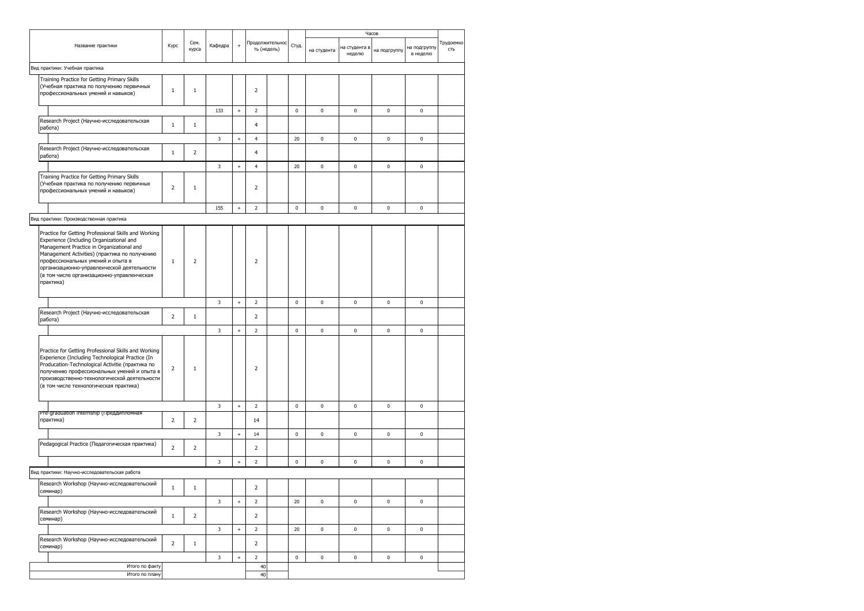|                                                                                                                                                                                                                                                                                                                                              |                |                |             |                                  |                |                 |             |             | Часов                   |              |                          |                  |
|----------------------------------------------------------------------------------------------------------------------------------------------------------------------------------------------------------------------------------------------------------------------------------------------------------------------------------------------|----------------|----------------|-------------|----------------------------------|----------------|-----------------|-------------|-------------|-------------------------|--------------|--------------------------|------------------|
| Название практики                                                                                                                                                                                                                                                                                                                            | Курс           | Сем.<br>курса  | Кафедра     | $\ddot{}$                        | ть (недель)    | Продолжительнос | Студ.       | на студента | на студента в<br>неделю | на подгруппу | на подгруппу<br>в неделю | Трудоемко<br>сть |
| Вид практики: Учебная практика                                                                                                                                                                                                                                                                                                               |                |                |             |                                  |                |                 |             |             |                         |              |                          |                  |
| Training Practice for Getting Primary Skills<br>(Учебная практика по получению первичных<br>профессиональных умений и навыков)                                                                                                                                                                                                               | $\mathbf{1}$   | $1\,$          |             |                                  | $\overline{2}$ |                 |             |             |                         |              |                          |                  |
|                                                                                                                                                                                                                                                                                                                                              |                |                | 133         | $\ddot{}$                        | $\overline{2}$ |                 | $\mathbf 0$ | 0           | $\pmb{0}$               | 0            | $\pmb{0}$                |                  |
| Research Project (Научно-исследовательская<br>работа)                                                                                                                                                                                                                                                                                        | $\mathbf{1}$   | $\,1$          |             |                                  | $\overline{4}$ |                 |             |             |                         |              |                          |                  |
|                                                                                                                                                                                                                                                                                                                                              |                |                | 3           | $\ddot{}$                        | 4              |                 | 20          | 0           | $\pmb{0}$               | 0            | $\pmb{0}$                |                  |
| Research Project (Научно-исследовательская<br>работа)                                                                                                                                                                                                                                                                                        | $\mathbf{1}$   | $\overline{2}$ |             |                                  | 4              |                 |             |             |                         |              |                          |                  |
|                                                                                                                                                                                                                                                                                                                                              |                |                | 3           | $^{+}$                           | 4              |                 | 20          | 0           | $\pmb{0}$               | 0            | $\pmb{0}$                |                  |
| Training Practice for Getting Primary Skills<br>(Учебная практика по получению первичных<br>профессиональных умений и навыков)                                                                                                                                                                                                               | $\overline{2}$ | $1\,$          |             |                                  | $\overline{2}$ |                 |             |             |                         |              |                          |                  |
|                                                                                                                                                                                                                                                                                                                                              |                |                | 155         | $\begin{array}{c} + \end{array}$ | $\overline{2}$ |                 | $\pmb{0}$   | 0           | $\pmb{0}$               | 0            | $\pmb{0}$                |                  |
| Вид практики: Производственная практика                                                                                                                                                                                                                                                                                                      |                |                |             |                                  |                |                 |             |             |                         |              |                          |                  |
| Practice for Getting Professional Skills and Working<br>Experience (Including Organizational and<br>Management Practice in Organizational and<br>Management Activities) (практика по получению<br>профессиональных умений и опыта в<br>организационно-управленческой деятельности<br>(в том числе организационно-управленческая<br>практика) | $1\,$          | $\overline{2}$ |             |                                  | $\overline{2}$ |                 |             |             |                         |              |                          |                  |
|                                                                                                                                                                                                                                                                                                                                              |                |                | 3           | $\ddot{}$                        | $\overline{2}$ |                 | $\mathbf 0$ | 0           | $\pmb{0}$               | 0            | $\pmb{0}$                |                  |
| Research Project (Научно-исследовательская<br>работа)                                                                                                                                                                                                                                                                                        | $\overline{2}$ | $\,1\,$        |             |                                  | $\overline{2}$ |                 |             |             |                         |              |                          |                  |
|                                                                                                                                                                                                                                                                                                                                              |                |                | 3           | $\ddot{}$                        | $\overline{2}$ |                 | $\mathbf 0$ | 0           | $\mathbf 0$             | 0            | 0                        |                  |
| Practice for Getting Professional Skills and Working<br>Experience (Including Technological Practice (In<br>Producation-Technological Activitie (практика по<br>получению профессиональных умений и опыта в<br>производственно-технологической деятельности<br>(в том числе технологическая практика)                                        | $\overline{2}$ | $\mathbf{1}$   |             |                                  | $\overline{2}$ |                 |             |             |                         |              |                          |                  |
|                                                                                                                                                                                                                                                                                                                                              |                |                | $\mathsf 3$ | $^{\mathrm{+}}$                  | $\overline{2}$ |                 | $\pmb{0}$   | $\pmb{0}$   | $\pmb{0}$               | $\pmb{0}$    | $\pmb{0}$                |                  |
| Pre-graduation internship (Преддипломная<br>практика)                                                                                                                                                                                                                                                                                        | $\overline{2}$ | $\overline{2}$ |             |                                  | 14             |                 |             |             |                         |              |                          |                  |
|                                                                                                                                                                                                                                                                                                                                              |                |                | 3           | $\ddot{}$                        | $14\,$         |                 | $\pmb{0}$   | 0           | $\pmb{0}$               | 0            | $\pmb{0}$                |                  |
| Pedagogical Practice (Педагогическая практика)                                                                                                                                                                                                                                                                                               | 2              | $\overline{2}$ |             |                                  | $\overline{2}$ |                 |             |             |                         |              |                          |                  |
|                                                                                                                                                                                                                                                                                                                                              |                |                | 3           | $^{+}$                           | $\overline{2}$ |                 | $\pmb{0}$   | 0           | $\pmb{0}$               | 0            | $\pmb{0}$                |                  |
| Вид практики: Научно-исследовательская работа                                                                                                                                                                                                                                                                                                |                |                |             |                                  |                |                 |             |             |                         |              |                          |                  |
| Research Workshop (Научно-исследовательский<br>семинар)                                                                                                                                                                                                                                                                                      | 1              | 1              |             |                                  | $\overline{2}$ |                 |             |             |                         |              |                          |                  |
|                                                                                                                                                                                                                                                                                                                                              |                |                | 3           | $^{\mathrm{+}}$                  | $\mathbf 2$    |                 | 20          | 0           | $\pmb{0}$               | 0            | $\pmb{0}$                |                  |
| Research Workshop (Научно-исследовательский<br>семинар)                                                                                                                                                                                                                                                                                      | $\mathbf{1}$   | $\overline{2}$ |             |                                  | $\mathbf 2$    |                 |             |             |                         |              |                          |                  |
|                                                                                                                                                                                                                                                                                                                                              |                |                | $\mathsf 3$ | $^+$                             | $\mathbf 2$    |                 | 20          | 0           | $\pmb{0}$               | 0            | $\pmb{0}$                |                  |
| Research Workshop (Научно-исследовательский<br>семинар)                                                                                                                                                                                                                                                                                      | $\overline{2}$ | $\mathbf{1}$   |             |                                  | $\overline{2}$ |                 |             |             |                         |              |                          |                  |
|                                                                                                                                                                                                                                                                                                                                              |                |                | 3           | $\begin{array}{c} + \end{array}$ | $\overline{2}$ |                 | $\pmb{0}$   | 0           | $\pmb{0}$               | 0            | $\pmb{0}$                |                  |
| Итого по факту<br>Итого по плану                                                                                                                                                                                                                                                                                                             |                |                |             |                                  | 40<br>40       |                 |             |             |                         |              |                          |                  |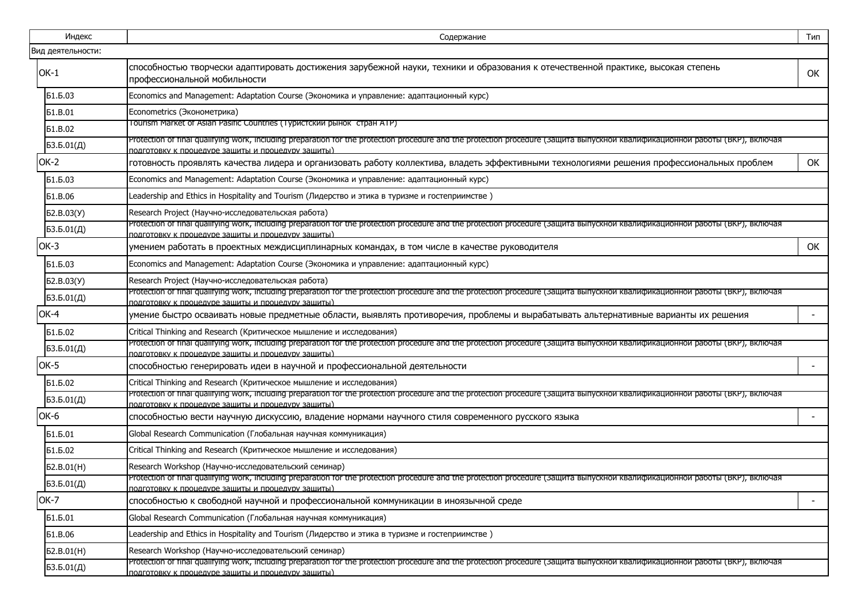| Индекс            | Содержание                                                                                                                                                                                                                         | Тип                      |
|-------------------|------------------------------------------------------------------------------------------------------------------------------------------------------------------------------------------------------------------------------------|--------------------------|
| Вид деятельности: |                                                                                                                                                                                                                                    |                          |
| $OK-1$            | способностью творчески адаптировать достижения зарубежной науки, техники и образования к отечественной практике, высокая степень<br>профессиональной мобильности                                                                   | <b>OK</b>                |
| Б1.Б.03           | Economics and Management: Adaptation Course (Экономика и управление: адаптационный курс)                                                                                                                                           |                          |
| <b>51.B.01</b>    | Econometrics (Эконометрика)                                                                                                                                                                                                        |                          |
| <b>51.B.02</b>    | Tourism Market of Asian Pasific Countries (Туристский рынок стран ATP)                                                                                                                                                             |                          |
| 53.5.01(Д)        | Protection of final qualifying work, including preparation for the protection procedure and the protection procedure (Защита выпускнои квалификационнои работы (ВКР), включая<br>подготовку к процедуре защиты и процедуру защиты) |                          |
| OK-2              | готовность проявлять качества лидера и организовать работу коллектива, владеть эффективными технологиями решения профессиональных проблем                                                                                          | ОК                       |
| Б1.Б.03           | Economics and Management: Adaptation Course (Экономика и управление: адаптационный курс)                                                                                                                                           |                          |
| <b>51.B.06</b>    | Leadership and Ethics in Hospitality and Tourism (Лидерство и этика в туризме и гостеприимстве)                                                                                                                                    |                          |
| Б2.В.03(У)        | Research Project (Научно-исследовательская работа)                                                                                                                                                                                 |                          |
| 53.5.01(Д)        | Protection of final qualifying work, including preparation for the protection procedure and the protection procedure (Защита выпускнои квалификационнои работы (ВКР), включая<br>подготовку к процедуре защиты и процедуру защиты) |                          |
| OK-3              | умением работать в проектных междисциплинарных командах, в том числе в качестве руководителя                                                                                                                                       | OK                       |
| Б1.Б.03           | Economics and Management: Adaptation Course (Экономика и управление: адаптационный курс)                                                                                                                                           |                          |
| Б2.В.03(У)        | Research Project (Научно-исследовательская работа)                                                                                                                                                                                 |                          |
| БЗ.Б.01(Д)        | Protection of final qualifying work, including preparation for the protection procedure and the protection procedure (защита выпускнои квалификационнои работы (ВКР), включая<br>полготовку к процелуре защиты и процелуру защиты) |                          |
| OK-4              | умение быстро осваивать новые предметные области, выявлять противоречия, проблемы и вырабатывать альтернативные варианты их решения                                                                                                | $\overline{\phantom{a}}$ |
| Б1.Б.02           | Critical Thinking and Research (Критическое мышление и исследования)                                                                                                                                                               |                          |
| 53.5.01(Д)        | Protection of final qualifying work, including preparation for the protection procedure and the protection procedure (Защита выпускнои квалификационнои работы (ВКР), включая<br>подготовку к процедуре защиты и процедуру защиты) |                          |
| OK-5              | способностью генерировать идеи в научной и профессиональной деятельности                                                                                                                                                           | $\overline{\phantom{a}}$ |
| Б1.Б.02           | Critical Thinking and Research (Критическое мышление и исследования)                                                                                                                                                               |                          |
| 53.5.01(Д)        | Protection of final qualifying work, including preparation for the protection procedure and the protection procedure (защита выпускнои квалификационнои работы (ВКР), включая<br>подготовку к процедуре защиты и процедуру защиты) |                          |
| OK-6              | способностью вести научную дискуссию, владение нормами научного стиля современного русского языка                                                                                                                                  |                          |
| Б1.Б.01           | Global Research Communication (Глобальная научная коммуникация)                                                                                                                                                                    |                          |
| Б1.Б.02           | Critical Thinking and Research (Критическое мышление и исследования)                                                                                                                                                               |                          |
| 52.B.01(H)        | Research Workshop (Научно-исследовательский семинар)                                                                                                                                                                               |                          |
| 53.5.01(Д)        | Protection of final qualifying work, including preparation for the protection procedure and the protection procedure (Защита выпускнои квалификационнои работы (ВКР), включая<br>подготовку к процедуре защиты и процедуру защиты) |                          |
| OK-7              | способностью к свободной научной и профессиональной коммуникации в иноязычной среде                                                                                                                                                |                          |
| Б1.Б.01           | Global Research Communication (Глобальная научная коммуникация)                                                                                                                                                                    |                          |
| <b>51.B.06</b>    | (Leadership and Ethics in Hospitality and Tourism (Лидерство и этика в туризме и гостеприимстве                                                                                                                                    |                          |
| Б2.В.01(H)        | Research Workshop (Научно-исследовательский семинар)                                                                                                                                                                               |                          |
| БЗ.Б.01(Д)        | Protection of final qualifying work, including preparation for the protection procedure and the protection procedure (Защита выпускнои квалификационнои работы (ВКР), включая<br>подготовку к процедуре защиты и процедуру защиты) |                          |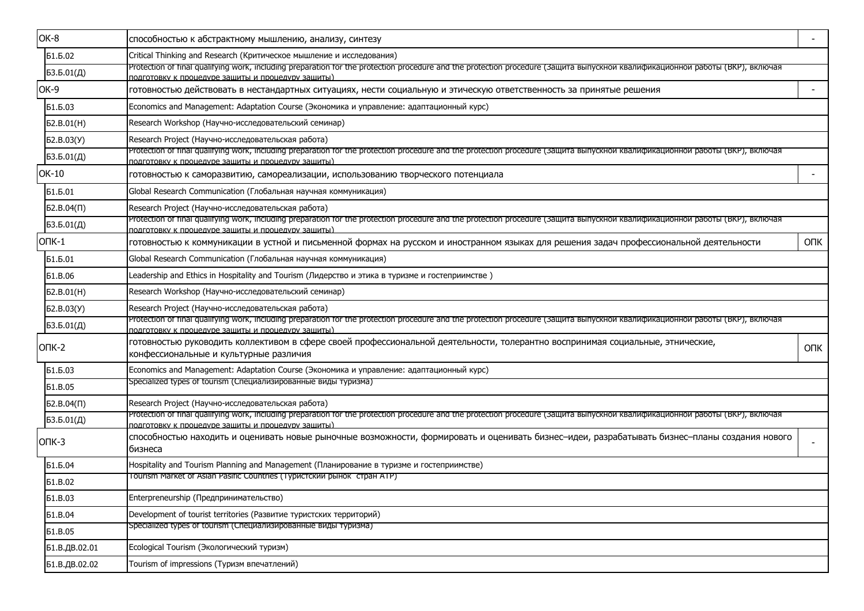| OK-8           | способностью к абстрактному мышлению, анализу, синтезу                                                                                                                                                                             |            |
|----------------|------------------------------------------------------------------------------------------------------------------------------------------------------------------------------------------------------------------------------------|------------|
| Б1.Б.02        | Critical Thinking and Research (Критическое мышление и исследования)                                                                                                                                                               |            |
| БЗ.Б.01(Д)     | Protection of final qualifying work, including preparation for the protection procedure and the protection procedure (Защита выпускнои квалификационнои работы (ВКР), включая<br>юдготовку к процедуре зашиты и процедуру зашиты). |            |
| OK-9           | готовностью действовать в нестандартных ситуациях, нести социальную и этическую ответственность за принятые решения                                                                                                                |            |
| Б1.Б.03        | Economics and Management: Adaptation Course (Экономика и управление: адаптационный курс)                                                                                                                                           |            |
| 52.B.01(H)     | Research Workshop (Научно-исследовательский семинар)                                                                                                                                                                               |            |
| Б2.В.03(У)     | Research Project (Научно-исследовательская работа)                                                                                                                                                                                 |            |
| БЗ.Б.01(Д)     | Protection of final qualifying work, including preparation for the protection procedure and the protection procedure (защита выпускнои квалификационнои работы (ВКР), включая<br>юдготовку к процедуре зашиты и процедуру зашиты)  |            |
| OK-10          | готовностью к саморазвитию, самореализации, использованию творческого потенциала                                                                                                                                                   |            |
| Б1.Б.01        | Global Research Communication (Глобальная научная коммуникация)                                                                                                                                                                    |            |
| 52.B.04(1)     | Research Project (Научно-исследовательская работа)                                                                                                                                                                                 |            |
| БЗ.Б.01(Д)     | Protection of final qualifying work, including preparation for the protection procedure and the protection procedure (Защита выпускнои квалификационнои работы (ВКР), включая<br>юдготовку к процедуре зашиты и процедуру зашиты)  |            |
| ONK-1          | готовностью к коммуникации в устной и письменной формах на русском и иностранном языках для решения задач профессиональной деятельности                                                                                            | <b>OUK</b> |
| Б1.Б.01        | Global Research Communication (Глобальная научная коммуникация)                                                                                                                                                                    |            |
| <b>61.B.06</b> | Leadership and Ethics in Hospitality and Tourism (Лидерство и этика в туризме и гостеприимстве)                                                                                                                                    |            |
| 52.B.01(H)     | Research Workshop (Научно-исследовательский семинар)                                                                                                                                                                               |            |
| Б2.В.03(У)     | Research Project (Научно-исследовательская работа)                                                                                                                                                                                 |            |
| БЗ.Б.01(Д)     | Protection of final qualifying work, including preparation for the protection procedure and the protection procedure (Защита выпускнои квалификационнои работы (ВКР), включая<br>подготовку к процедуре зашиты и процедуру зашиты) |            |
| $OTK-2$        | готовностью руководить коллективом в сфере своей профессиональной деятельности, толерантно воспринимая социальные, этнические,<br>конфессиональные и культурные различия                                                           | <b>ONK</b> |
| Б1.Б.03        | Economics and Management: Adaptation Course (Экономика и управление: адаптационный курс)                                                                                                                                           |            |
| <b>51.B.05</b> | Specialized types of tourism (Специализированные виды туризма)                                                                                                                                                                     |            |
| $52.B.04(\Pi)$ | Research Project (Научно-исследовательская работа)                                                                                                                                                                                 |            |
| 53.5.01(Д)     | Protection of final qualifying work, including preparation for the protection procedure and the protection procedure (Защита выпускнои квалификационнои работы (ВКР), включая<br>подготовку к процедуре зашиты и процедуру зашиты) |            |
| $OTK-3$        | способностью находить и оценивать новые рыночные возможности, формировать и оценивать бизнес–идеи, разрабатывать бизнес–планы создания нового<br>бизнеса                                                                           |            |
| Б1.Б.04        | Hospitality and Tourism Planning and Management (Планирование в туризме и гостеприимстве)                                                                                                                                          |            |
| <b>51.B.02</b> | Tourism Market of Asian Pasific Countries (Туристский рынок стран ATP)                                                                                                                                                             |            |
| <b>61.B.03</b> | Enterpreneurship (Предпринимательство)                                                                                                                                                                                             |            |
| <b>Б1.В.04</b> | Development of tourist territories (Развитие туристских территорий)                                                                                                                                                                |            |
| <b>51.B.05</b> | Specialized types of tourism (Специализированные виды туризма)                                                                                                                                                                     |            |
| Б1.В.ДВ.02.01  | Ecological Tourism (Экологический туризм)                                                                                                                                                                                          |            |
| Б1.В.ДВ.02.02  | Tourism of impressions (Туризм впечатлений)                                                                                                                                                                                        |            |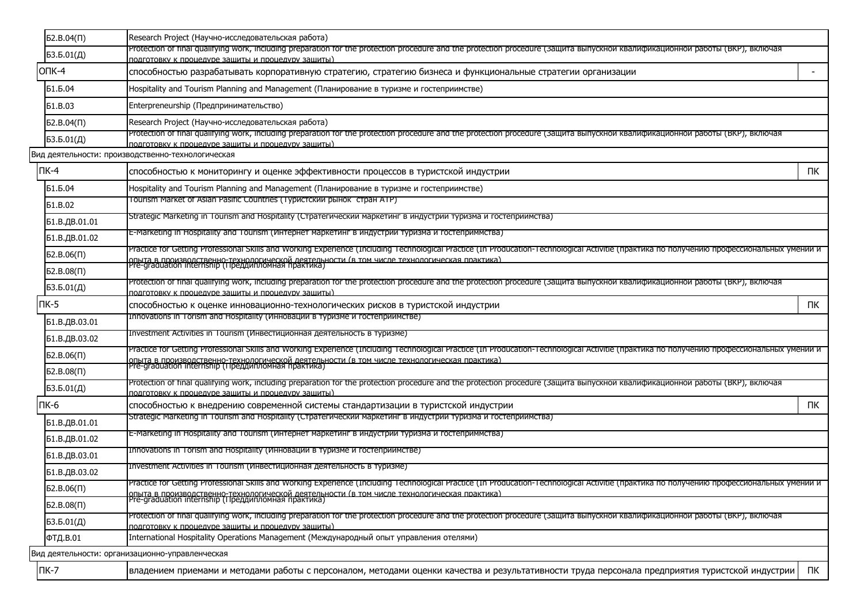| $52.B.04(\Pi)$ | Research Project (Научно-исследовательская работа)                                                                                                                                                                                  |    |
|----------------|-------------------------------------------------------------------------------------------------------------------------------------------------------------------------------------------------------------------------------------|----|
| 53.5.01(Д)     | Protection of final qualifying work, including preparation for the protection procedure and the protection procedure (защита выпускнои квалификационнои работы (ВКР), включая<br>полготовку к процелуре защиты и процелуру защиты). |    |
| $OTK-4$        | способностью разрабатывать корпоративную стратегию, стратегию бизнеса и функциональные стратегии организации                                                                                                                        |    |
| Б1.Б.04        | Hospitality and Tourism Planning and Management (Планирование в туризме и гостеприимстве)                                                                                                                                           |    |
| <b>61.B.03</b> | Enterpreneurship (Предпринимательство)                                                                                                                                                                                              |    |
| $52.B.04(\Pi)$ | Research Project (Научно-исследовательская работа)                                                                                                                                                                                  |    |
| 53.5.01(Д)     | Protection of final qualifying work, including preparation for the protection procedure and the protection procedure (защита выпускнои квалификационнои работы (ВКР), включая<br>подготовку к процедуре зашиты и процедуру зашиты)  |    |
|                | Вид деятельности: производственно-технологическая                                                                                                                                                                                   |    |
| $\n  IR-4\n$   | способностью к мониторингу и оценке эффективности процессов в туристской индустрии                                                                                                                                                  | ПК |
| Б1.Б.04        | Hospitality and Tourism Planning and Management (Планирование в туризме и гостеприимстве)                                                                                                                                           |    |
| <b>61.B.02</b> | Tourism Market of Asian Pasific Countries (Туристский рынок стран ATP)                                                                                                                                                              |    |
| Б1.В.ДВ.01.01  | Strategic Marketing in Tourism and Hospitality (Стратегическии маркетинг в индустрии туризма и гостеприимства)                                                                                                                      |    |
| Б1.В.ДВ.01.02  | E-Marketing in Hospitality and Tourism (Интернет маркетинг в индустрии туризма и гостеприммства)                                                                                                                                    |    |
| 52.B.06(1)     | Practice for Getting Professional Skills and Working Experience (Including Technological Practice (In Producation-Technological Activitie (практика по получению профессиональных умении и                                          |    |
| 52.B.08(1)     | опыта в производственно-технологической деятельности (в том числе технологическая практика).<br> Pre-graduation internship (Преддипломная практика)                                                                                 |    |
| 53.5.01(Д)     | Protection of final qualifying work, including preparation for the protection procedure and the protection procedure (Защита выпускнои квалификационнои работы (ВКР), включая<br>подготовку к процедуре защиты и процедуру защиты)  |    |
| $\n  TK-5\n$   | способностью к оценке инновационно-технологических рисков в туристской индустрии                                                                                                                                                    | ПК |
| Б1.В.ДВ.03.01  | Innovations in Torism and Hospitality (Инновации в туризме и гостеприимстве)                                                                                                                                                        |    |
| Б1.В.ДВ.03.02  | Investment Activities in Tourism (Инвестиционная деятельность в туризме)                                                                                                                                                            |    |
| $52.B.06(\Pi)$ | Practice for Getting Professional Skills and Working Experience (Including Technological Practice (In Producation-Technological Activitie (практика по получению профессиональных умении и                                          |    |
| 52.B.08(1)     | опыта в производственно-технологической деятельности (в том числе технологическая практика).<br> Pre-graduation internship (Преддипломная практика)                                                                                 |    |
| 53.5.01(Д)     | Protection of final qualifying work, including preparation for the protection procedure and the protection procedure (Защита выпускнои квалификационнои работы (ВКР), включая                                                       |    |
| ПК-6           | подготовку к процедуре зашиты и процедуру зашиты)<br>способностью к внедрению современной системы стандартизации в туристской индустрии                                                                                             | ПК |
| Б1.В.ДВ.01.01  | Strategic Marketing in Tourism and Hospitality (Стратегическии маркетинг в индустрии туризма и гостеприимства)                                                                                                                      |    |
| Б1.В.ДВ.01.02  | E-Marketing in Hospitality and Tourism (Интернет маркетинг в индустрии туризма и гостеприммства)                                                                                                                                    |    |
| Б1.В.ДВ.03.01  | Innovations in Torism and Hospitality (Инновации в туризме и гостеприимстве)                                                                                                                                                        |    |
| Б1.В.ДВ.03.02  | Investment Activities in Tourism (Инвестиционная деятельность в туризме)                                                                                                                                                            |    |
| 52.B.06(1)     | Practice for Getting Professional Skills and Working Experience (Including Technological Practice (In Producation-Technological Activitie (практика по получению профессиональных умении и                                          |    |
| 52.B.08(1)     | Іопыта в производственно-технологической деятельности (в том числе технологическая практика)<br> Pre-graduation internship (Преддипломная практика)                                                                                 |    |
| БЗ.Б.01(Д)     | Protection of final qualifying work, including preparation for the protection procedure and the protection procedure (Защита выпускнои квалификационнои работы (ВКР), включая                                                       |    |
| ФТД.В.01       | подготовку к процедуре защиты и процедуру защиты)<br>International Hospitality Operations Management (Международный опыт управления отелями)                                                                                        |    |
|                | Вид деятельности: организационно-управленческая                                                                                                                                                                                     |    |
| $\Pi K-7$      | владением приемами и методами работы с персоналом, методами оценки качества и результативности труда персонала предприятия туристской индустрии                                                                                     | ПК |
|                |                                                                                                                                                                                                                                     |    |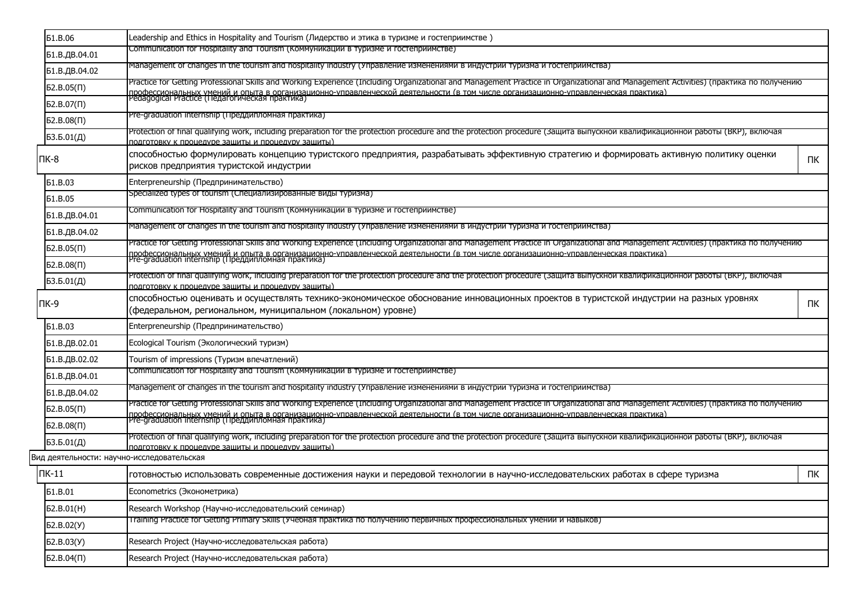| <b>51.B.06</b> | Leadership and Ethics in Hospitality and Tourism (Лидерство и этика в туризме и гостеприимстве)                                                                                                                                     |    |
|----------------|-------------------------------------------------------------------------------------------------------------------------------------------------------------------------------------------------------------------------------------|----|
| Б1.В.ДВ.04.01  | Communication for Hospitality and Tourism (Коммуникации в туризме и гостеприимстве)                                                                                                                                                 |    |
| Б1.В.ДВ.04.02  | Management of changes in the tourism and hospitality industry (Управление изменениями в индустрии туризма и гостеприимства)                                                                                                         |    |
| 52.B.05(1)     | Practice for Getting Professional Skills and Working Experience (Including Organizational and Management Practice in Organizational and Management Activities) (практика по получению                                               |    |
| 52.B.07(1)     | профессиональных умений и опыта в организационно-управленческой деятельности (в том числе организационно-управленческая практика)<br>Реdagogical Practice (Педагогическая практика)                                                 |    |
| 52.B.08(1)     | Pre-graduation internship (Преддипломная практика)                                                                                                                                                                                  |    |
| БЗ.Б.01(Д)     | Protection of final qualifying work, including preparation for the protection procedure and the protection procedure (Защита выпускнои квалификационнои работы (ВКР), включая<br>подготовку к процедуре зашиты и процедуру зашиты). |    |
| ПК-8           | способностью формулировать концепцию туристского предприятия, разрабатывать эффективную стратегию и формировать активную политику оценки<br>рисков предприятия туристской индустрии                                                 | ПК |
| <b>61.B.03</b> | Enterpreneurship (Предпринимательство)                                                                                                                                                                                              |    |
| <b>51.B.05</b> | Specialized types of tourism (Специализированные виды туризма)                                                                                                                                                                      |    |
| Б1.В.ДВ.04.01  | Communication for Hospitality and Tourism (Коммуникации в туризме и гостеприимстве)                                                                                                                                                 |    |
| Б1.В.ДВ.04.02  | Management of changes in the tourism and hospitality industry (Управление изменениями в индустрии туризма и гостеприимства)                                                                                                         |    |
| 52.B.05(1)     | Practice for Getting Professional Skills and Working Experience (Including Organizational and Management Practice in Organizational and Management Activities) (практика по получению                                               |    |
| $52.B.08(\Pi)$ | профессиональных умений и опыта в организационно-управленческой леятельности (в том числе организационно-управленческая практика)<br>Pre-graduation internship (Преддипломная практика)                                             |    |
| БЗ.Б.01(Д)     | Protection of final qualifying work, including preparation for the protection procedure and the protection procedure (защита выпускнои квалификационнои работы (ВКР), включая<br>подготовку к процедуре защиты и процедуру защиты)  |    |
| ПК-9           | способностью оценивать и осуществлять технико-экономическое обоснование инновационных проектов в туристской индустрии на разных уровнях<br>(федеральном, региональном, муниципальном (локальном) уровне)                            | ΠК |
| <b>61.B.03</b> | Enterpreneurship (Предпринимательство)                                                                                                                                                                                              |    |
| Б1.В.ДВ.02.01  | Ecological Tourism (Экологический туризм)                                                                                                                                                                                           |    |
| Б1.В.ДВ.02.02  | Tourism of impressions (Туризм впечатлений)                                                                                                                                                                                         |    |
| Б1.В.ДВ.04.01  | Communication for Hospitality and Tourism (Коммуникации в туризме и гостеприимстве)                                                                                                                                                 |    |
| Б1.В.ДВ.04.02  | Management of changes in the tourism and hospitality industry (Управление изменениями в индустрии туризма и гостеприимства)                                                                                                         |    |
| $52.B.05(\Pi)$ | Practice for Getting Professional Skills and Working Experience (Including Organizational and Management Practice in Organizational and Management Activities) (практика по получению                                               |    |
| 52.B.08(1)     | профессиональных умений и опыта в организационно-управленческой леятельности (в том числе организационно-управленческая практика)<br>Pre-graduation internship (Преддипломная практика)                                             |    |
| 53.5.01(Д)     | Protection of final qualifying work, including preparation for the protection procedure and the protection procedure (Защита выпускнои квалификационнои работы (ВКР), включая                                                       |    |
|                | полготовку к процелуре зашиты и процелуру зашиты)<br>Вид деятельности: научно-исследовательская                                                                                                                                     |    |
| ПК-11          | готовностью использовать современные достижения науки и передовой технологии в научно-исследовательских работах в сфере туризма                                                                                                     | ПК |
| <b>61.B.01</b> | Econometrics (Эконометрика)                                                                                                                                                                                                         |    |
| Б2.В.01(H)     | Research Workshop (Научно-исследовательский семинар)                                                                                                                                                                                |    |
| 62.B.02(Y)     | <u>тгаming Practice for Getting Primary Skills (Учебная практика по получению первичных профессиональных умении и навыков)</u>                                                                                                      |    |
| Б2.В.03(У)     | Research Project (Научно-исследовательская работа)                                                                                                                                                                                  |    |
| 52.B.04(1)     | Research Project (Научно-исследовательская работа)                                                                                                                                                                                  |    |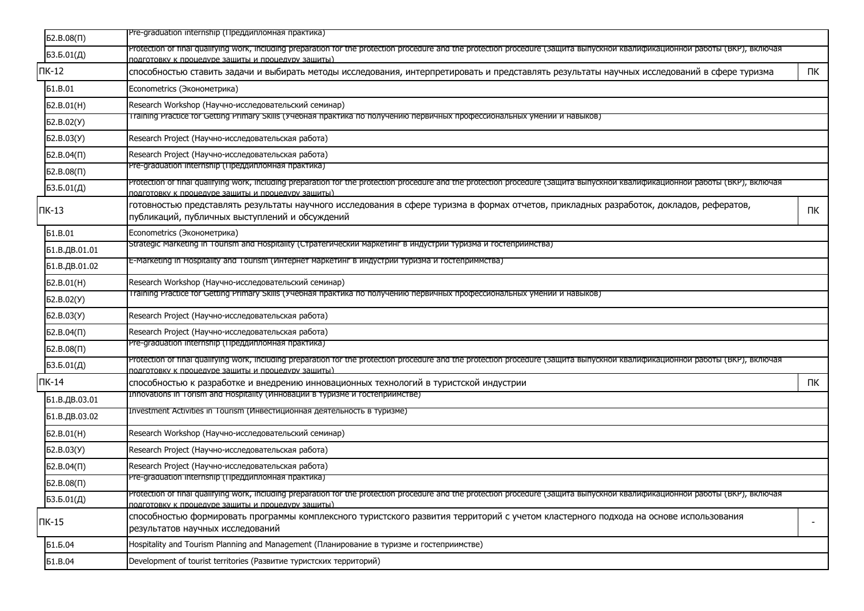| 52.B.08(1)        | Pre-graduation internship (Преддипломная практика)                                                                                                                                                                                  |                          |
|-------------------|-------------------------------------------------------------------------------------------------------------------------------------------------------------------------------------------------------------------------------------|--------------------------|
| БЗ.Б.01(Д)        | Protection of final qualifying work, including preparation for the protection procedure and the protection procedure (защита выпускнои квалификационнои работы (ВКР), включая                                                       |                          |
| $TK-12$           | полготовку к процелуре защиты и процелуру защиты)<br>способностью ставить задачи и выбирать методы исследования, интерпретировать и представлять результаты научных исследований в сфере туризма                                    | ПК                       |
| <b>51.B.01</b>    | Econometrics (Эконометрика)                                                                                                                                                                                                         |                          |
| Б2.В.01(H)        | Research Workshop (Научно-исследовательский семинар)                                                                                                                                                                                |                          |
| 62.B.02(Y)        | I raining Practice for Getting Primary Skills (Учебная практика по получению первичных профессиональных умении и навыков)                                                                                                           |                          |
| 62.B.03(Y)        | Research Project (Научно-исследовательская работа)                                                                                                                                                                                  |                          |
| $52.B.04(\Pi)$    | Research Project (Научно-исследовательская работа)                                                                                                                                                                                  |                          |
| 52.B.08(1)        | Pre-graduation internship (Преддипломная практика)                                                                                                                                                                                  |                          |
| БЗ.Б.01(Д)        | Protection of final qualifying work, including preparation for the protection procedure and the protection procedure (защита выпускнои квалификационнои работы (ВКР), включая<br>подготовку к процедуре защиты и процедуру защиты)  |                          |
| $TK-13$           | готовностью представлять результаты научного исследования в сфере туризма в формах отчетов, прикладных разработок, докладов, рефератов,<br>публикаций, публичных выступлений и обсуждений                                           | ПК                       |
| <b>61.B.01</b>    | Econometrics (Эконометрика)                                                                                                                                                                                                         |                          |
| Б1.В.ДВ.01.01     | Strategic Marketing in Tourism and Hospitality (Стратегическии маркетинг в индустрии туризма и гостеприимства)                                                                                                                      |                          |
| Б1.В.ДВ.01.02     | E-Marketing in Hospitality and Tourism (Интернет маркетинг в индустрии туризма и гостеприммства)                                                                                                                                    |                          |
| 52.B.01(H)        | Research Workshop (Научно-исследовательский семинар)                                                                                                                                                                                |                          |
| 62.B.02(Y)        | I raining Practice for Getting Primary Skills (Учебная практика по получению первичных профессиональных умении и навыков)                                                                                                           |                          |
| Б2.В.03(У)        | Research Project (Научно-исследовательская работа)                                                                                                                                                                                  |                          |
| $52.B.04(\Pi)$    | Research Project (Научно-исследовательская работа)                                                                                                                                                                                  |                          |
| $52.B.08(\Pi)$    | Pre-graduation internship (Преддипломная практика)                                                                                                                                                                                  |                          |
| 53.5.01(Д)        | Protection of final qualifying work, including preparation for the protection procedure and the protection procedure (Защита выпускнои квалификационнои работы (ВКР), включая<br>подготовку к процедуре зашиты и процедуру зашиты)  |                          |
| $\Pi K-14$        | способностью к разработке и внедрению инновационных технологий в туристской индустрии                                                                                                                                               | ПК                       |
| Б1.В.ДВ.03.01     | Innovations in Torism and Hospitality (Инновации в туризме и гостеприимстве)                                                                                                                                                        |                          |
| Б1.В.ДВ.03.02     | Investment Activities in Tourism (Инвестиционная деятельность в туризме)                                                                                                                                                            |                          |
| 52.B.01(H)        | Research Workshop (Научно-исследовательский семинар)                                                                                                                                                                                |                          |
| <b>62.B.03(Y)</b> | Research Project (Научно-исследовательская работа)                                                                                                                                                                                  |                          |
| $52.B.04(\Pi)$    | Research Project (Научно-исследовательская работа)                                                                                                                                                                                  |                          |
| 52.B.08(1)        | Pre-graduation internship (Преддипломная практика)                                                                                                                                                                                  |                          |
| БЗ.Б.01(Д)        | Protection of final qualifying work, including preparation for the protection procedure and the protection procedure (Защита выпускнои квалификационнои работы (ВКР), включая<br>подготовку к процедуре защиты и процедуру защиты). |                          |
| $TK-15$           | способностью формировать программы комплексного туристского развития территорий с учетом кластерного подхода на основе использования<br>результатов научных исследований                                                            | $\overline{\phantom{a}}$ |
| Б1.Б.04           | Hospitality and Tourism Planning and Management (Планирование в туризме и гостеприимстве)                                                                                                                                           |                          |
| <b>61.B.04</b>    | Development of tourist territories (Развитие туристских территорий)                                                                                                                                                                 |                          |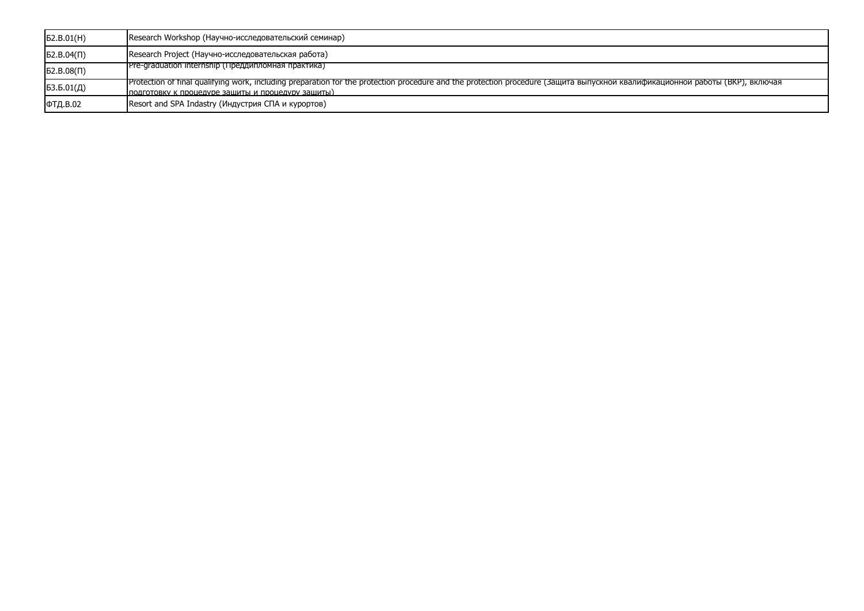| 52.B.01(H)     | Research Workshop (Научно-исследовательский семинар)                                                                                                                                                                               |
|----------------|------------------------------------------------------------------------------------------------------------------------------------------------------------------------------------------------------------------------------------|
| $52.B.04(\Pi)$ | Research Project (Научно-исследовательская работа)                                                                                                                                                                                 |
| 52.B.08(1)     | Pre-graduation internship (Преддипломная практика)                                                                                                                                                                                 |
| 53.5.01(Д)     | Protection of final qualifying work, including preparation for the protection procedure and the protection procedure (Защита выпускнои квалификационнои работы (ВКР), включая<br>подготовку к процедуре защиты и процедуру защиты) |
| ФТД.В.02       | Resort and SPA Indastry (Индустрия СПА и курортов)                                                                                                                                                                                 |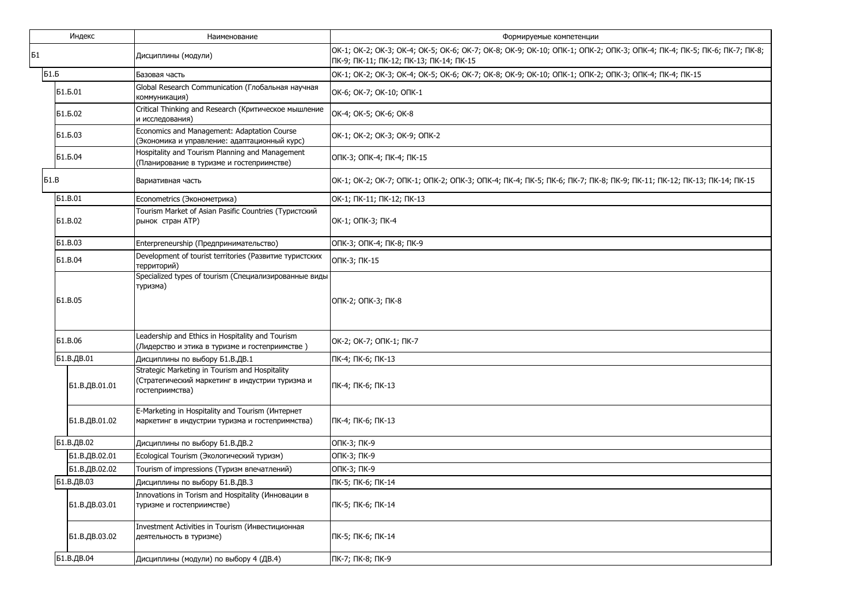|             | Индекс         | Наименование                                                                                                         | Формируемые компетенции                                                                                                                                           |
|-------------|----------------|----------------------------------------------------------------------------------------------------------------------|-------------------------------------------------------------------------------------------------------------------------------------------------------------------|
| Б1          |                | Дисциплины (модули)                                                                                                  | OK-1; OK-2; OK-3; OK-4; OK-5; OK-6; OK-7; OK-8; OK-9; OK-10; OΠK-1; OΠK-2; OΠK-3; OΠK-4; ПК-4; ПК-5; ПК-6; ПК-7; ПК-8;<br>ПК-9; ПК-11; ПК-12; ПК-13; ПК-14; ПК-15 |
| Б1.Б        |                | Базовая часть                                                                                                        | OK-1; OK-2; OK-3; OK-4; OK-5; OK-6; OK-7; OK-8; OK-9; OK-10; ONK-1; ONK-2; ONK-3; ONK-4; NK-4; NK-15                                                              |
|             | Б1.Б.01        | Global Research Communication (Глобальная научная<br>коммуникация)                                                   | OK-6; OK-7; OK-10; ONK-1                                                                                                                                          |
|             | Б1.Б.02        | Critical Thinking and Research (Критическое мышление<br>и исследования)                                              | OK-4; OK-5; OK-6; OK-8                                                                                                                                            |
|             | Б1.Б.03        | Economics and Management: Adaptation Course<br>(Экономика и управление: адаптационный курс)                          | OK-1; OK-2; OK-3; OK-9; ONK-2                                                                                                                                     |
|             | Б1.Б.04        | Hospitality and Tourism Planning and Management<br>(Планирование в туризме и гостеприимстве)                         | ОПК-3; ОПК-4; ПК-4; ПК-15                                                                                                                                         |
| <b>51.B</b> |                | Вариативная часть                                                                                                    | OK-1; OK-2; OK-7; OПK-1; OПK-2; OПK-3; OПK-4; ПК-4; ПК-5; ПК-6; ПК-7; ПК-8; ПК-9; ПК-11; ПК-12; ПК-13; ПК-14; ПК-15                                               |
|             | <b>51.B.01</b> | Econometrics (Эконометрика)                                                                                          | OK-1; NK-11; NK-12; NK-13                                                                                                                                         |
|             | <b>61.B.02</b> | Tourism Market of Asian Pasific Countries (Туристский<br>рынок стран ATP)                                            | ОК-1; ОПК-3; ПК-4                                                                                                                                                 |
|             | <b>61.B.03</b> | Enterpreneurship (Предпринимательство)                                                                               | ОПК-3; ОПК-4; ПК-8; ПК-9                                                                                                                                          |
|             | <b>51.B.04</b> | Development of tourist territories (Развитие туристских<br>территорий)                                               | ОПК-3; ПК-15                                                                                                                                                      |
|             | <b>61.B.05</b> | Specialized types of tourism (Специализированные виды<br>туризма)                                                    | ОПК-2; ОПК-3; ПК-8                                                                                                                                                |
|             | <b>61.B.06</b> | Leadership and Ethics in Hospitality and Tourism<br>(Лидерство и этика в туризме и гостеприимстве)                   | OK-2; OK-7; ONK-1; NK-7                                                                                                                                           |
|             | Б1.В.ДВ.01     | Дисциплины по выбору Б1.В.ДВ.1                                                                                       | ПК-4; ПК-6; ПК-13                                                                                                                                                 |
|             | Б1.В.ДВ.01.01  | Strategic Marketing in Tourism and Hospitality<br>(Стратегический маркетинг в индустрии туризма и<br>гостеприимства) | ПК-4; ПК-6; ПК-13                                                                                                                                                 |
|             | Б1.В.ДВ.01.02  | E-Marketing in Hospitality and Tourism (Интернет<br>маркетинг в индустрии туризма и гостеприммства)                  | ПК-4; ПК-6; ПК-13                                                                                                                                                 |
|             | Б1.В.ДВ.02     | Дисциплины по выбору Б1.В.ДВ.2                                                                                       | ОПК-3; ПК-9                                                                                                                                                       |
|             | Б1.В.ДВ.02.01  | Ecological Tourism (Экологический туризм)                                                                            | ОПК-3; ПК-9                                                                                                                                                       |
|             | Б1.В.ДВ.02.02  | Tourism of impressions (Туризм впечатлений)                                                                          | ОПК-3; ПК-9                                                                                                                                                       |
|             | Б1.В.ДВ.03     | Дисциплины по выбору Б1.В.ДВ.3                                                                                       | ПК-5; ПК-6; ПК-14                                                                                                                                                 |
|             | Б1.В.ДВ.03.01  | Innovations in Torism and Hospitality (Инновации в<br>туризме и гостеприимстве)                                      | ПК-5; ПК-6; ПК-14                                                                                                                                                 |
|             | Б1.В.ДВ.03.02  | Investment Activities in Tourism (Инвестиционная<br>деятельность в туризме)                                          | ПК-5; ПК-6; ПК-14                                                                                                                                                 |
|             | Б1.В.ДВ.04     | Дисциплины (модули) по выбору 4 (ДВ.4)                                                                               | ПК-7; ПК-8; ПК-9                                                                                                                                                  |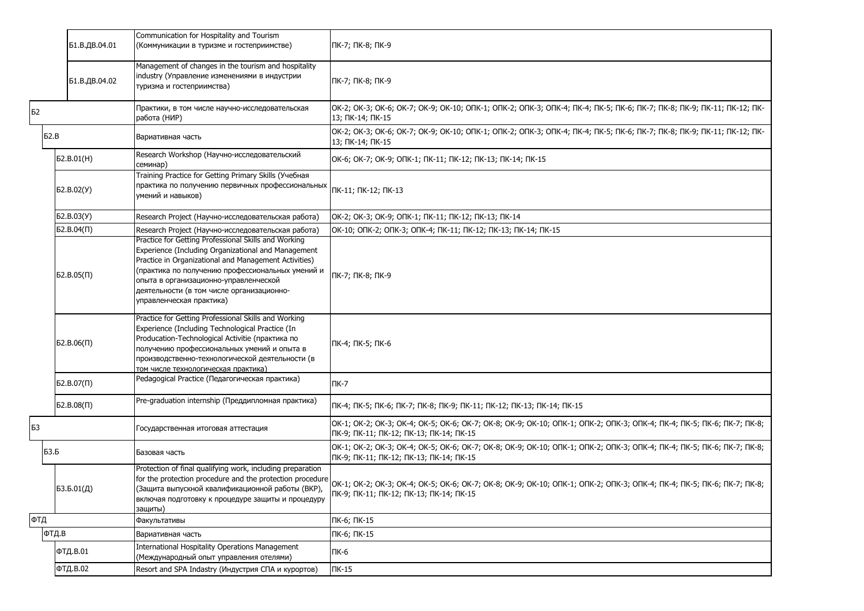|     | Б1.В.ДВ.04.01       | Communication for Hospitality and Tourism<br>(Коммуникации в туризме и гостеприимстве)                                                                                                                                                                                                                                                     | ПК-7; ПК-8; ПК-9                                                                                                                                                  |
|-----|---------------------|--------------------------------------------------------------------------------------------------------------------------------------------------------------------------------------------------------------------------------------------------------------------------------------------------------------------------------------------|-------------------------------------------------------------------------------------------------------------------------------------------------------------------|
|     | Б1.В.ДВ.04.02       | Management of changes in the tourism and hospitality<br>industry (Управление изменениями в индустрии<br>туризма и гостеприимства)                                                                                                                                                                                                          | ПК-7; ПК-8; ПК-9                                                                                                                                                  |
| Б2  |                     | Практики, в том числе научно-исследовательская<br>работа (НИР)                                                                                                                                                                                                                                                                             | OK-2; OK-3; OK-6; OK-7; OK-9; OK-10; OΠK-1; OΠK-2; OΠK-3; OΠK-4; ΠK-4; ΠK-5; ΠK-6; ΠK-7; ΠK-8; ΠK-9; ΠK-11; ΠK-12; ΠK-<br>13; NK-14; NK-15                        |
|     | 52.B                | Вариативная часть                                                                                                                                                                                                                                                                                                                          | OK-2; OK-3; OK-6; OK-7; OK-9; OK-10; OΠK-1; OΠK-2; OΠK-3; OΠK-4; ΠK-4; ΠK-5; ΠK-6; ΠK-7; ΠK-8; ΠK-9; ΠK-11; ΠK-12; ΠK-<br>13; ПК-14; ПК-15                        |
|     | Б2.В.01(H)          | Research Workshop (Научно-исследовательский<br>семинар)                                                                                                                                                                                                                                                                                    | OK-6; OK-7; OK-9; ONK-1; NK-11; NK-12; NK-13; NK-14; NK-15                                                                                                        |
|     | D. B. 02(Y)         | Training Practice for Getting Primary Skills (Учебная<br>практика по получению первичных профессиональных<br>умений и навыков)                                                                                                                                                                                                             | ПК-11; ПК-12; ПК-13                                                                                                                                               |
|     | 52.B.03(Y)          | Research Project (Научно-исследовательская работа)                                                                                                                                                                                                                                                                                         | OK-2; OK-3; OK-9; ONK-1; NK-11; NK-12; NK-13; NK-14                                                                                                               |
|     | $52.B.04(\Pi)$      | Research Project (Научно-исследовательская работа)                                                                                                                                                                                                                                                                                         | ОК-10; ОПК-2; ОПК-3; ОПК-4; ПК-11; ПК-12; ПК-13; ПК-14; ПК-15                                                                                                     |
|     | 52.B.05(II)         | Practice for Getting Professional Skills and Working<br>Experience (Including Organizational and Management<br>Practice in Organizational and Management Activities)<br>(практика по получению профессиональных умений и<br>опыта в организационно-управленческой<br>деятельности (в том числе организационно-<br>управленческая практика) | ПК-7; ПК-8; ПК-9                                                                                                                                                  |
|     | 52.B.06(1)          | Practice for Getting Professional Skills and Working<br>Experience (Including Technological Practice (In<br>Producation-Technological Activitie (практика по<br>получению профессиональных умений и опыта в<br>производственно-технологической деятельности (в<br>том числе технологическая практика)                                      | ПК-4; ПК-5; ПК-6                                                                                                                                                  |
|     | $52.B.07(\Pi)$      | Pedagogical Practice (Педагогическая практика)                                                                                                                                                                                                                                                                                             | ПК-7                                                                                                                                                              |
|     | 52.B.08(1)          | Pre-graduation internship (Преддипломная практика)                                                                                                                                                                                                                                                                                         | ПК-4; ПК-5; ПК-6; ПК-7; ПК-8; ПК-9; ПК-11; ПК-12; ПК-13; ПК-14; ПК-15                                                                                             |
| Б3  |                     | осударственная итоговая аттестация                                                                                                                                                                                                                                                                                                         | OK-1; OK-2; OK-3; OK-4; OK-5; OK-6; OK-7; OK-8; OK-9; OK-10; OΠK-1; OΠK-2; OΠK-3; OПK-4; ПК-4; ПК-5; ПК-6; ПК-7; ПК-8;<br>ПК-9; ПК-11; ПК-12; ПК-13; ПК-14; ПК-15 |
|     | БЗ.Б                | Базовая часть                                                                                                                                                                                                                                                                                                                              | OK-1; OK-2; OK-3; OK-4; OK-5; OK-6; OK-7; OK-8; OK-9; OK-10; OΠK-1; OПK-2; OПK-3; OПK-4; ПК-4; ПК-5; ПК-6; ПК-7; ПК-8;<br>ПК-9; ПК-11; ПК-12; ПК-13; ПК-14; ПК-15 |
|     | 53.5.01( <i>Д</i> ) | Protection of final qualifying work, including preparation<br>for the protection procedure and the protection procedure<br>(Защита выпускной квалификационной работы (ВКР),<br>включая подготовку к процедуре защиты и процедуру<br>защиты)                                                                                                | OK-1; OK-2; OK-3; OK-4; OK-5; OK-6; OK-7; OK-8; OK-9; OK-10; OΠK-1; OΠK-2; OПK-3; OПK-4; ПК-4; ПК-5; ПК-6; ПК-7; ПК-8;<br>ПК-9; ПК-11; ПК-12; ПК-13; ПК-14; ПК-15 |
| ФТД |                     | Факультативы                                                                                                                                                                                                                                                                                                                               | ПК-6; ПК-15                                                                                                                                                       |
|     | ФТД.В               | Вариативная часть                                                                                                                                                                                                                                                                                                                          | ПК-6; ПК-15                                                                                                                                                       |
|     | ФТД.В.01            | International Hospitality Operations Management<br>(Международный опыт управления отелями)                                                                                                                                                                                                                                                 | ПК-6                                                                                                                                                              |
|     | ФТД.В.02            | Resort and SPA Indastry (Индустрия СПА и курортов)                                                                                                                                                                                                                                                                                         | $\Pi K-15$                                                                                                                                                        |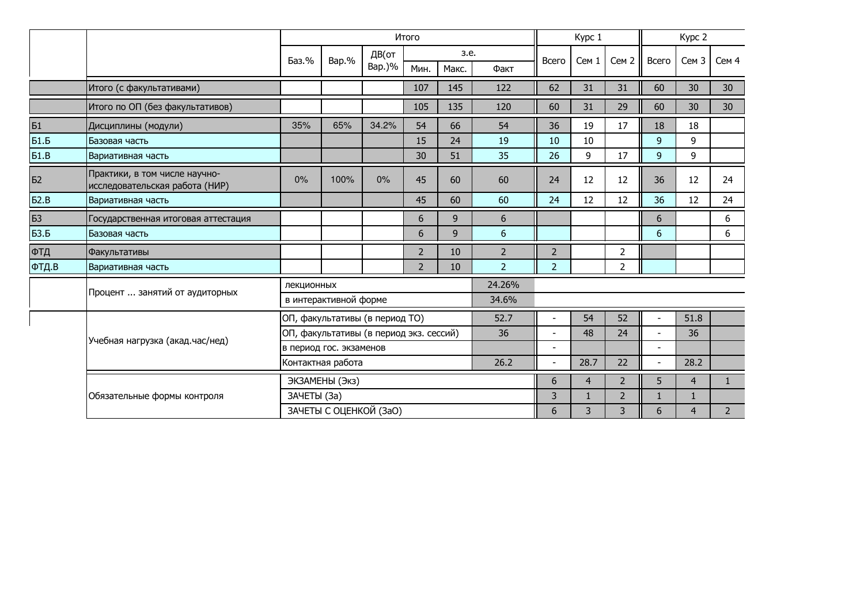|             |                                                                 |             |                         |                                         | Итого          |       |                | Kypc 1                   |                |                  | Kypc 2                   |                  |             |  |
|-------------|-----------------------------------------------------------------|-------------|-------------------------|-----------------------------------------|----------------|-------|----------------|--------------------------|----------------|------------------|--------------------------|------------------|-------------|--|
|             |                                                                 | Баз.%       | Bap.%                   | ДВ(от                                   |                | 3.e.  |                | Всего                    | Cem 1          | Сем <sub>2</sub> | Всего                    | Сем <sub>3</sub> | Сем 4       |  |
|             |                                                                 |             |                         | Bap.)%                                  | Мин.           | Макс. | Факт           |                          |                |                  |                          |                  |             |  |
|             | Итого (с факультативами)                                        |             |                         |                                         | 107            | 145   | 122            | 62                       | 31             | 31               | 60                       | 30               | 30          |  |
|             | Итого по ОП (без факультативов)                                 |             |                         |                                         | 105            | 135   | 120            | 60                       | 31             | 29               | 60                       | 30               | 30          |  |
| <b>61</b>   | Дисциплины (модули)                                             | 35%         | 65%                     | 34.2%                                   | 54             | 66    | 54             | 36                       | 19             | 17               | 18                       | 18               |             |  |
| 51.5        | Базовая часть                                                   |             |                         |                                         | 15             | 24    | 19             | 10                       | 10             |                  | $\overline{9}$           | 9                |             |  |
| 51.B        | Вариативная часть                                               |             |                         |                                         | 30             | 51    | 35             | 26                       | 9              | 17               | 9                        | 9                |             |  |
| Б2          | Практики, в том числе научно-<br>исследовательская работа (НИР) | $0\%$       | 100%                    | 0%                                      | 45             | 60    | 60             | 24                       | 12             | 12               | 36                       | 12               | 24          |  |
| 52.B        | Вариативная часть                                               |             |                         |                                         | 45             | 60    | 60             | 24                       | 12             | 12               | 36                       | 12               | 24          |  |
| Б3          | Государственная итоговая аттестация                             |             |                         |                                         | 6              | 9     | 6              |                          |                |                  | 6                        |                  | 6           |  |
| <b>БЗ.Б</b> | Базовая часть                                                   |             |                         |                                         | 6              | 9     | 6              |                          |                |                  | 6                        |                  | 6           |  |
| ФТД         | Факультативы                                                    |             |                         |                                         | $\overline{2}$ | 10    | $\overline{2}$ | $\overline{2}$           |                | $\overline{2}$   |                          |                  |             |  |
| ФТД.В       | Вариативная часть                                               |             |                         |                                         | $\overline{2}$ | 10    | $\overline{2}$ | 2 <sup>1</sup>           |                | $\overline{2}$   |                          |                  |             |  |
|             |                                                                 | лекционных  |                         |                                         |                |       | 24.26%         |                          |                |                  |                          |                  |             |  |
|             | Процент  занятий от аудиторных                                  |             | в интерактивной форме   |                                         |                |       |                |                          |                |                  |                          |                  |             |  |
|             |                                                                 |             |                         | ОП, факультативы (в период ТО)          |                |       | 52.7           |                          | 54             | 52               |                          | 51.8             |             |  |
|             | Учебная нагрузка (акад.час/нед)                                 |             |                         | ОП, факультативы (в период экз. сессий) |                |       | 36             |                          | 48             | 24               |                          | 36               |             |  |
|             |                                                                 |             | в период гос. экзаменов |                                         |                |       |                | $\overline{\phantom{a}}$ |                |                  | $\overline{\phantom{a}}$ |                  |             |  |
|             |                                                                 |             | Контактная работа       |                                         |                |       | 26.2           | $\sim$                   | 28.7           | 22               |                          | 28.2             |             |  |
|             |                                                                 |             | ЭКЗАМЕНЫ (Экз)          |                                         |                |       | 6              | $\overline{4}$           | $\overline{2}$ | 5                | $\overline{4}$           | 1                |             |  |
|             | Обязательные формы контроля                                     | ЗАЧЕТЫ (За) |                         |                                         |                |       |                | 3                        | $\mathbf{1}$   | $\overline{2}$   | $\mathbf{1}$             | 1                |             |  |
|             |                                                                 |             |                         | ЗАЧЕТЫ С ОЦЕНКОЙ (ЗаО)                  |                |       |                | 6                        | 3              | 3                | 6                        | 4                | $2^{\circ}$ |  |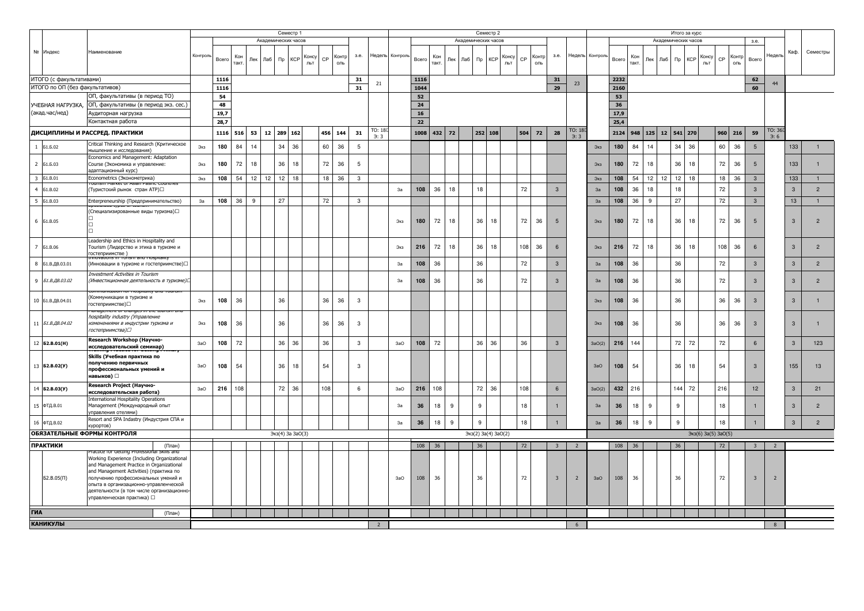|                             |                                 | Семестр 1                                                                            |        |                   |      |            |     |                     |            |       |     |               |                | Семестр 2<br>Академических часов |                 |            |        |         |  |                     |       |     |       |                         |                 |         |       |      |                    |     | Итого за курс       |                     |           |       |                         |                          |                 |                |
|-----------------------------|---------------------------------|--------------------------------------------------------------------------------------|--------|-------------------|------|------------|-----|---------------------|------------|-------|-----|---------------|----------------|----------------------------------|-----------------|------------|--------|---------|--|---------------------|-------|-----|-------|-------------------------|-----------------|---------|-------|------|--------------------|-----|---------------------|---------------------|-----------|-------|-------------------------|--------------------------|-----------------|----------------|
|                             |                                 |                                                                                      |        |                   |      |            |     | Академических часов |            |       |     |               |                |                                  |                 |            |        |         |  |                     |       |     |       |                         |                 |         |       |      |                    |     | Академических часов |                     |           |       | 3.e.                    |                          |                 |                |
|                             | № Индекс                        | Наименование                                                                         |        |                   |      |            |     |                     |            |       |     |               |                |                                  |                 |            |        |         |  |                     |       |     |       |                         |                 |         |       |      |                    |     |                     |                     |           |       |                         |                          | Каф.            | Семестры       |
|                             |                                 |                                                                                      |        | Контроль<br>Bcerc |      | Кон<br>Лек | Лаб | $\n  np\n$          | <b>KCP</b> | Консу | CP  | 3.e.<br>Контр |                |                                  | Недель Контроль | Bcero      | Кон    | Лек Лаб |  | <b>KCP</b><br>$\Pi$ | Консу | CP  | Контр | 3.e.                    | Недель          | Контрол | Bcero | Кон  | Пек                | Лаб | $\n  mp\n  KCP\n$   | Консу               | CP        | Контр | Bcero                   | Недель                   |                 |                |
|                             |                                 |                                                                                      |        |                   |      | такт.      |     |                     |            | льт   |     | ОЛЬ           |                |                                  |                 |            | такт.  |         |  |                     | ЛЬТ   |     | ОЛЬ   |                         |                 |         |       | такт |                    |     |                     | ЛЬТ                 |           | оль   |                         |                          |                 |                |
|                             |                                 |                                                                                      |        |                   |      |            |     |                     |            |       |     |               |                |                                  |                 |            |        |         |  |                     |       |     |       |                         |                 |         |       |      |                    |     |                     |                     |           |       |                         |                          |                 |                |
|                             | ИТОГО (с факультативами)        |                                                                                      |        | 1116              |      |            |     |                     |            |       |     |               | 31             | 21                               |                 | 1116       |        |         |  |                     |       |     |       | 31                      | 23              |         | 2232  |      |                    |     |                     |                     |           |       | 62                      | 44                       |                 |                |
|                             | ИТОГО по ОП (без факультативов) |                                                                                      |        | 1116              |      |            |     |                     |            |       |     | 31            |                |                                  |                 | 1044       |        |         |  |                     |       |     |       | 29                      |                 |         | 2160  |      |                    |     |                     |                     |           |       | 60                      |                          |                 |                |
|                             |                                 | ОП, факультативы (в период ТО)                                                       |        | 54                |      |            |     |                     |            |       |     |               |                |                                  |                 | 52         |        |         |  |                     |       |     |       |                         |                 |         | 53    |      |                    |     |                     |                     |           |       |                         |                          |                 |                |
|                             | УЧЕБНАЯ НАГРУЗКА,               | ОП, факультативы (в период экз. сес.)                                                |        | 48                |      |            |     |                     |            |       |     |               |                |                                  |                 | 24         |        |         |  |                     |       |     |       |                         |                 |         | 36    |      |                    |     |                     |                     |           |       |                         |                          |                 |                |
|                             | (акад.час/нед)                  | Аудиторная нагрузка                                                                  |        | 19,7              |      |            |     |                     |            |       |     |               |                |                                  |                 | ${\bf 16}$ |        |         |  |                     |       |     |       |                         |                 |         | 17,9  |      |                    |     |                     |                     |           |       |                         |                          |                 |                |
| Контактная работа           |                                 |                                                                                      | 28,7   |                   |      |            |     |                     |            |       |     |               |                |                                  | 22              |            |        |         |  |                     |       |     |       |                         |                 | 25,4    |       |      |                    |     |                     |                     |           |       |                         |                          |                 |                |
|                             |                                 | ДИСЦИПЛИНЫ И РАССРЕД. ПРАКТИКИ                                                       |        |                   |      |            |     |                     |            |       |     |               |                | TO: 18                           |                 |            |        |         |  |                     |       |     |       |                         | TO: 18          |         |       |      |                    |     |                     |                     |           |       |                         | TO: 36                   |                 |                |
|                             |                                 |                                                                                      |        |                   | 1116 | 516<br>53  |     | 12 289 162          |            |       | 456 | 144<br>31     |                | 3:3                              |                 | 1008       | 432 72 |         |  | 252 108             |       | 504 | 72    | 28                      | $\rightarrow$ . |         | 2124  |      | 948 125 12 541 270 |     |                     |                     | $960$ 216 |       | 59                      | $\rightarrow$ 6          |                 |                |
|                             | 1 51.5.02                       | Critical Thinking and Research (Критическое                                          |        | 180<br>Экз        |      | 84<br>14   |     | 34                  | 36         |       | 60  | 36            | $\overline{5}$ |                                  |                 |            |        |         |  |                     |       |     |       |                         |                 | Экз     | 180   | 84   | 14                 |     | 34<br>36            |                     | 60        | 36    | $5\phantom{.0}$         |                          | 133             |                |
|                             |                                 | мышление и исследования)                                                             |        |                   |      |            |     |                     |            |       |     |               |                |                                  |                 |            |        |         |  |                     |       |     |       |                         |                 |         |       |      |                    |     |                     |                     |           |       |                         |                          |                 |                |
| $\overline{2}$              | Б1.Б.03                         | Economics and Management: Adaptation<br>Course (Экономика и управление:              |        | 180<br>Экз        |      | 72<br>18   |     | 36                  | 18         |       | 72  | 36            | $\overline{5}$ |                                  |                 |            |        |         |  |                     |       |     |       |                         |                 | Экз     | 180   | 72   | 18                 |     | 36<br>18            |                     | 72        | 36    | 5                       |                          | 133             | $\mathbf{1}$   |
|                             |                                 | адаптационный курс)                                                                  |        |                   |      |            |     |                     |            |       |     |               |                |                                  |                 |            |        |         |  |                     |       |     |       |                         |                 |         |       |      |                    |     |                     |                     |           |       |                         |                          |                 |                |
|                             | 3 61.B.01                       | Econometrics (Эконометрика)                                                          |        | 108<br>Экз        |      | 54<br>12   | 12  | 12                  | 18         |       | 18  | 36            | $\mathbf{3}$   |                                  |                 |            |        |         |  |                     |       |     |       |                         |                 | Экз     | 108   | 54   | 12                 | 12  | 12<br>18            |                     | 18        | 36    | $\mathbf{3}$            |                          | 133             | 1              |
| $\overline{4}$              | 61.B.02                         |                                                                                      |        |                   |      |            |     |                     |            |       |     |               |                |                                  | 3a              | 108        | 36     | 18      |  | 18                  |       | 72  |       | 3                       |                 | 3a      | 108   | 36   | 18                 |     | 18                  |                     | 72        |       | $\mathbf{3}$            |                          | $\mathbf{3}$    | $\overline{2}$ |
|                             |                                 | (Туристский рынок стран АТР)□                                                        |        |                   |      |            |     |                     |            |       |     |               |                |                                  |                 |            |        |         |  |                     |       |     |       |                         |                 |         |       |      |                    |     |                     |                     |           |       |                         |                          |                 |                |
| $\overline{\phantom{0}}$    | <b>51.B.03</b>                  | Enterpreneurship (Предпринимательство)                                               |        | 108<br>За         |      | 36<br>9    |     | 27                  |            |       | 72  |               | $\mathbf{3}$   |                                  |                 |            |        |         |  |                     |       |     |       |                         |                 | 3a      | 108   | 36   | 9                  |     | 27                  |                     | 72        |       | $\mathbf{3}$            |                          | 13 <sup>°</sup> | $\overline{1}$ |
|                             |                                 | (Специализированные виды туризма)□                                                   |        |                   |      |            |     |                     |            |       |     |               |                |                                  |                 |            |        |         |  |                     |       |     |       |                         |                 |         |       |      |                    |     |                     |                     |           |       |                         |                          |                 |                |
|                             | 6 51.B.05                       |                                                                                      |        |                   |      |            |     |                     |            |       |     |               |                |                                  | Экз             | 180        | 72     | 18      |  | 36                  | 18    | 72  | 36    | $5\overline{5}$         |                 | Экз     | 180   | 72   | 18                 |     | 36<br>18            |                     | 72        | 36    | $5\overline{5}$         |                          | $\mathbf{3}$    | $\overline{2}$ |
|                             |                                 |                                                                                      |        |                   |      |            |     |                     |            |       |     |               |                |                                  |                 |            |        |         |  |                     |       |     |       |                         |                 |         |       |      |                    |     |                     |                     |           |       |                         |                          |                 |                |
|                             |                                 |                                                                                      |        |                   |      |            |     |                     |            |       |     |               |                |                                  |                 |            |        |         |  |                     |       |     |       |                         |                 |         |       |      |                    |     |                     |                     |           |       |                         |                          |                 |                |
|                             |                                 | Leadership and Ethics in Hospitality and                                             |        |                   |      |            |     |                     |            |       |     |               |                |                                  |                 |            |        |         |  |                     |       |     |       |                         |                 |         |       |      |                    |     |                     |                     |           |       |                         |                          |                 |                |
|                             | 7 51.B.06                       | Tourism (Лидерство и этика в туризме и<br>гостеприимстве)                            |        |                   |      |            |     |                     |            |       |     |               |                |                                  | Экз             | 216        | 72     | 18      |  | 36<br>18            |       | 108 | 36    | 6                       |                 | Экз     | 216   | 72   | 18                 |     | 36<br>18            |                     | 108       | 36    |                         |                          | $\mathbf{3}$    | $\overline{2}$ |
|                             |                                 | and riospitality                                                                     |        |                   |      |            |     |                     |            |       |     |               |                |                                  |                 |            |        |         |  |                     |       |     |       |                         |                 |         |       |      |                    |     |                     |                     |           |       |                         |                          |                 |                |
| $_{8}$                      | Б1.В.ДВ.03.01                   | (Инновации в туризме и гостеприимстве)□                                              |        |                   |      |            |     |                     |            |       |     |               |                |                                  | 3a              | 108        | 36     |         |  | 36                  |       | 72  |       | $\overline{3}$          |                 | 3a      | 108   | 36   |                    |     | 36                  |                     | 72        |       | 3                       |                          | $\mathbf{3}$    | $\overline{2}$ |
|                             |                                 | Investment Activities in Tourism                                                     |        |                   |      |            |     |                     |            |       |     |               |                |                                  |                 |            |        |         |  |                     |       |     |       |                         |                 |         |       |      |                    |     |                     |                     |           |       |                         |                          |                 |                |
| $\overline{9}$              | Б1.В.ДВ.03.02                   | (Инвестиционная деятельность в туризме)                                              |        |                   |      |            |     |                     |            |       |     |               |                |                                  | 3a              | 108        | 36     |         |  | 36                  |       | 72  |       | 3                       |                 | 3a      | 108   | 36   |                    |     | 36                  |                     | 72        |       | $\mathcal{R}$           |                          | $\mathbf{3}$    | $\overline{2}$ |
|                             |                                 |                                                                                      |        |                   |      |            |     |                     |            |       |     |               |                |                                  |                 |            |        |         |  |                     |       |     |       |                         |                 |         |       |      |                    |     |                     |                     |           |       |                         |                          |                 |                |
|                             | 10 Б1.В.ДВ.04.01                | (Коммуникации в туризме и                                                            |        | 108<br>Экз        |      | 36         |     | 36                  |            |       | 36  | 36            | $\mathbf{3}$   |                                  |                 |            |        |         |  |                     |       |     |       |                         |                 | Экз     | 108   | 36   |                    |     | 36                  |                     | 36        | 36    | $\mathcal{R}$           |                          | $\mathbf{3}$    | $\mathbf{1}$   |
|                             |                                 | гостеприимстве)□                                                                     |        |                   |      |            |     |                     |            |       |     |               |                |                                  |                 |            |        |         |  |                     |       |     |       |                         |                 |         |       |      |                    |     |                     |                     |           |       |                         |                          |                 |                |
|                             |                                 | hospitality industry (Управление                                                     |        |                   |      |            |     |                     |            |       |     |               |                |                                  |                 |            |        |         |  |                     |       |     |       |                         |                 |         |       |      |                    |     |                     |                     |           |       |                         |                          |                 |                |
| $11\,$                      | Б1.В.ДВ.04.02                   | изменениями в индустрии туризма и                                                    |        | 108<br>Экз        |      | 36         |     | 36                  |            |       | 36  | 36            | $\mathbf{3}$   |                                  |                 |            |        |         |  |                     |       |     |       |                         |                 | Экз     | 108   | 36   |                    |     | 36                  |                     | 36        | 36    | $\mathbf{3}$            |                          | $\overline{3}$  | $\overline{1}$ |
|                             |                                 | гостеприимства)⊡                                                                     |        |                   |      |            |     |                     |            |       |     |               |                |                                  |                 |            |        |         |  |                     |       |     |       |                         |                 |         |       |      |                    |     |                     |                     |           |       |                         |                          |                 |                |
|                             |                                 | Research Workshop (Научно-                                                           |        | 3aO               |      |            |     |                     |            |       |     |               |                |                                  |                 | 108        |        |         |  |                     |       |     |       |                         |                 |         |       | 144  |                    |     |                     |                     |           |       | 6                       |                          |                 |                |
|                             | 12 <b>62.B.01(H)</b>            | исследовательский семинар)                                                           |        | 108               |      | 72         |     | 36                  | 36         |       | 36  |               | $\mathbf{3}$   |                                  | 3aO             |            | 72     |         |  | 36<br>36            |       | 36  |       | $\mathsf 3$             |                 | 3aO(2)  | 216   |      |                    |     | 72<br>72            |                     | 72        |       |                         |                          | $\mathbf{3}$    | 123            |
|                             |                                 | Skills (Учебная практика по                                                          |        |                   |      |            |     |                     |            |       |     |               |                |                                  |                 |            |        |         |  |                     |       |     |       |                         |                 |         |       |      |                    |     |                     |                     |           |       |                         |                          |                 |                |
|                             | 13 <b>62.B.02(Y)</b>            | получению первичных                                                                  |        | 108<br>3aO        |      | 54         |     | 36                  | 18         |       | 54  |               | $\mathbf{3}$   |                                  |                 |            |        |         |  |                     |       |     |       |                         |                 | 3aO     | 108   | 54   |                    |     | 36<br>18            |                     | 54        |       | $\mathcal{B}$           |                          | 155             | 13             |
|                             |                                 | профессиональных умений и                                                            |        |                   |      |            |     |                     |            |       |     |               |                |                                  |                 |            |        |         |  |                     |       |     |       |                         |                 |         |       |      |                    |     |                     |                     |           |       |                         |                          |                 |                |
|                             |                                 | навыков) $\Box$                                                                      |        |                   |      |            |     |                     |            |       |     |               |                |                                  |                 |            |        |         |  |                     |       |     |       |                         |                 |         |       |      |                    |     |                     |                     |           |       |                         |                          |                 |                |
| 14                          | <b>62.B.03(Y)</b>               | Research Project (Научно-                                                            |        | 216<br>3aO        |      | 108        |     | 72                  | 36         |       | 108 |               | $\,6\,$        |                                  | 3aO             | 216        | 108    |         |  | 72<br>36            |       | 108 |       | 6                       |                 | 3aO(2)  | 432   | 216  |                    |     | 144<br>72           |                     | 216       |       | 12                      |                          | $\mathbf{3}$    | 21             |
|                             |                                 | исследовательская работа)                                                            |        |                   |      |            |     |                     |            |       |     |               |                |                                  |                 |            |        |         |  |                     |       |     |       |                         |                 |         |       |      |                    |     |                     |                     |           |       |                         |                          |                 |                |
|                             | 15 ФТД.В.01                     | <b>International Hospitality Operations</b><br>Management (Международный опыт        |        |                   |      |            |     |                     |            |       |     |               |                |                                  | 3a              | 36         | 18     | 9       |  | 9                   |       | 18  |       |                         |                 | 3a      | 36    | 18   | 9                  |     | 9                   |                     | 18        |       |                         |                          | $\mathbf{3}$    | $\overline{2}$ |
|                             |                                 | управления отелями)                                                                  |        |                   |      |            |     |                     |            |       |     |               |                |                                  |                 |            |        |         |  |                     |       |     |       |                         |                 |         |       |      |                    |     |                     |                     |           |       |                         |                          |                 |                |
|                             |                                 | Resort and SPA Indastry (Индустрия СПА и                                             |        |                   |      |            |     |                     |            |       |     |               |                |                                  | За              | 36         | 18     | 9       |  | 9                   |       | 18  |       | $\mathbf{1}$            |                 | 3a      | 36    | 18   | 9                  |     | 9                   |                     | 18        |       |                         |                          | $\mathbf{3}$    | $2^{\circ}$    |
|                             | 16 ФТД.В.02<br>курортов)        |                                                                                      |        |                   |      |            |     |                     |            |       |     |               |                |                                  |                 |            |        |         |  |                     |       |     |       |                         |                 |         |       |      |                    |     |                     |                     |           |       |                         |                          |                 |                |
| ОБЯЗАТЕЛЬНЫЕ ФОРМЫ КОНТРОЛЯ |                                 |                                                                                      |        |                   |      |            |     | Экз(4) За ЗаО(3)    |            |       |     |               |                |                                  |                 |            |        |         |  | Экз(2) За(4) ЗаО(2) |       |     |       |                         |                 |         |       |      |                    |     |                     | Экз(6) За(5) ЗаО(5) |           |       |                         |                          |                 |                |
|                             | <b>ПРАКТИКИ</b>                 |                                                                                      | (План) |                   |      |            |     |                     |            |       |     |               |                |                                  |                 | 108        | 36     |         |  | 36                  |       | 72  |       | $\overline{\mathbf{3}}$ | $2^{\circ}$     |         | 108   | 36   |                    |     | 36                  |                     | 72        |       | $\overline{\mathbf{3}}$ | $\overline{2}$           |                 |                |
|                             |                                 | nal Skills and<br>ractice for Getting Prof                                           |        |                   |      |            |     |                     |            |       |     |               |                |                                  |                 |            |        |         |  |                     |       |     |       |                         |                 |         |       |      |                    |     |                     |                     |           |       |                         |                          |                 |                |
|                             |                                 | Working Experience (Including Organizational                                         |        |                   |      |            |     |                     |            |       |     |               |                |                                  |                 |            |        |         |  |                     |       |     |       |                         |                 |         |       |      |                    |     |                     |                     |           |       |                         |                          |                 |                |
|                             |                                 | and Management Practice in Organizational<br>and Management Activities) (практика по |        |                   |      |            |     |                     |            |       |     |               |                |                                  |                 |            |        |         |  |                     |       |     |       |                         |                 |         |       |      |                    |     |                     |                     |           |       |                         |                          |                 |                |
|                             | $52.B.05(\Pi)$                  | получению профессиональных умений и                                                  |        |                   |      |            |     |                     |            |       |     |               |                |                                  | 3aO             | 108        | 36     |         |  | 36                  |       | 72  |       | $\overline{3}$          | $\overline{2}$  | 3aO     | 108   | 36   |                    |     | 36                  |                     | 72        |       | $\overline{3}$          | $\overline{\phantom{0}}$ |                 |                |
|                             |                                 | опыта в организационно-управленческой                                                |        |                   |      |            |     |                     |            |       |     |               |                |                                  |                 |            |        |         |  |                     |       |     |       |                         |                 |         |       |      |                    |     |                     |                     |           |       |                         |                          |                 |                |
|                             |                                 | деятельности (в том числе организационно                                             |        |                   |      |            |     |                     |            |       |     |               |                |                                  |                 |            |        |         |  |                     |       |     |       |                         |                 |         |       |      |                    |     |                     |                     |           |       |                         |                          |                 |                |
|                             |                                 | управленческая практика) $\Box$                                                      |        |                   |      |            |     |                     |            |       |     |               |                |                                  |                 |            |        |         |  |                     |       |     |       |                         |                 |         |       |      |                    |     |                     |                     |           |       |                         |                          |                 |                |
|                             |                                 |                                                                                      |        |                   |      |            |     |                     |            |       |     |               |                |                                  |                 |            |        |         |  |                     |       |     |       |                         |                 |         |       |      |                    |     |                     |                     |           |       |                         |                          |                 |                |
| ГИА<br>(План)               |                                 |                                                                                      |        |                   |      |            |     |                     |            |       |     |               |                |                                  |                 |            |        |         |  |                     |       |     |       |                         |                 |         |       |      |                    |     |                     |                     |           |       |                         |                          |                 |                |
|                             | <b>КАНИКУЛЫ</b>                 |                                                                                      |        |                   |      |            |     |                     |            |       |     |               |                | $\overline{2}$                   |                 |            |        |         |  |                     |       |     |       |                         | $6\overline{6}$ |         |       |      |                    |     |                     |                     |           |       |                         | 8                        |                 |                |